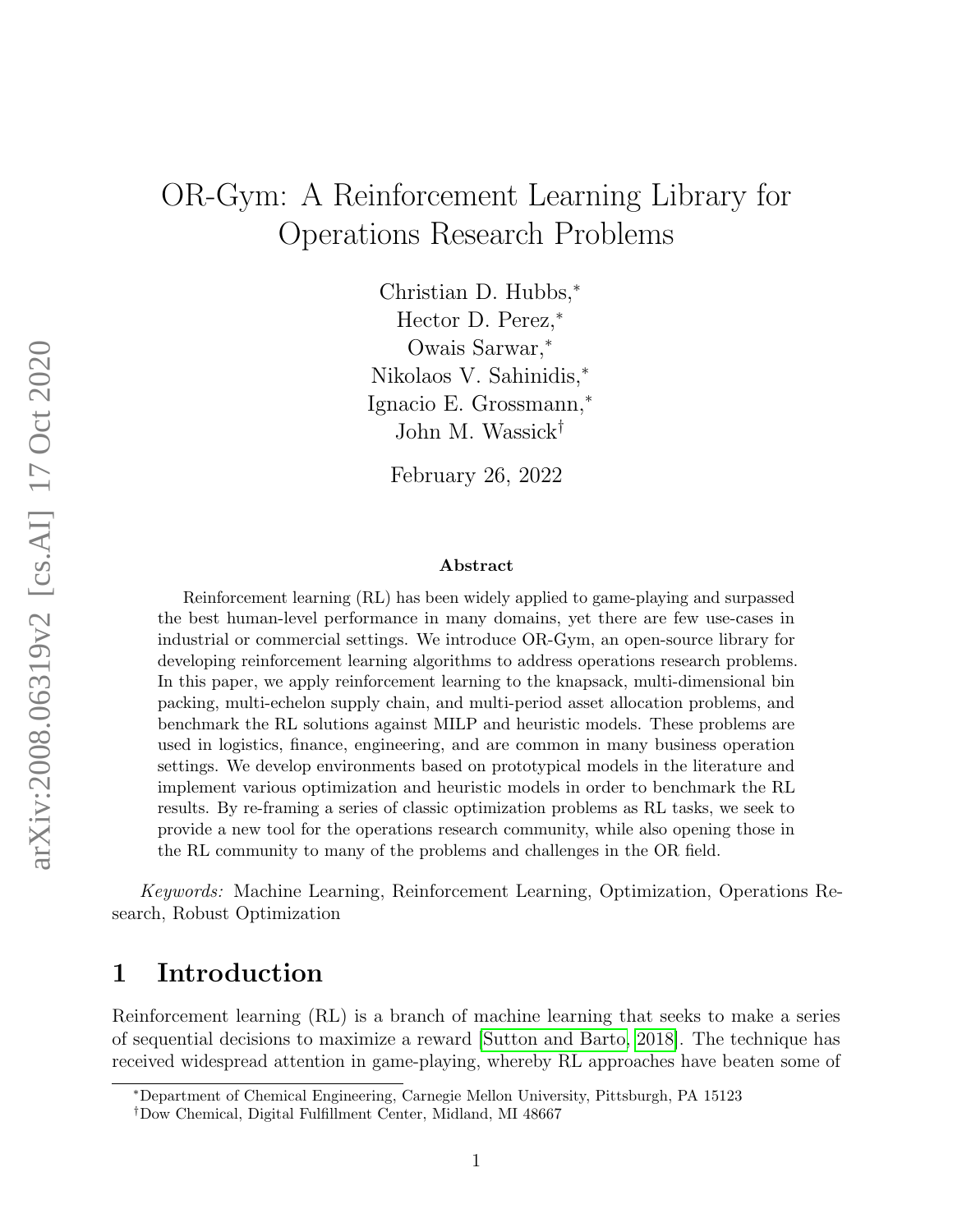# <span id="page-0-0"></span>OR-Gym: A Reinforcement Learning Library for Operations Research Problems

Christian D. Hubbs,<sup>∗</sup> Hector D. Perez,<sup>∗</sup> Owais Sarwar,<sup>∗</sup> Nikolaos V. Sahinidis,<sup>∗</sup> Ignacio E. Grossmann,<sup>∗</sup> John M. Wassick†

February 26, 2022

#### Abstract

Reinforcement learning (RL) has been widely applied to game-playing and surpassed the best human-level performance in many domains, yet there are few use-cases in industrial or commercial settings. We introduce OR-Gym, an open-source library for developing reinforcement learning algorithms to address operations research problems. In this paper, we apply reinforcement learning to the knapsack, multi-dimensional bin packing, multi-echelon supply chain, and multi-period asset allocation problems, and benchmark the RL solutions against MILP and heuristic models. These problems are used in logistics, finance, engineering, and are common in many business operation settings. We develop environments based on prototypical models in the literature and implement various optimization and heuristic models in order to benchmark the RL results. By re-framing a series of classic optimization problems as RL tasks, we seek to provide a new tool for the operations research community, while also opening those in the RL community to many of the problems and challenges in the OR field.

Keywords: Machine Learning, Reinforcement Learning, Optimization, Operations Research, Robust Optimization

# 1 Introduction

Reinforcement learning (RL) is a branch of machine learning that seeks to make a series of sequential decisions to maximize a reward [\[Sutton and Barto, 2018\]](#page-27-0). The technique has received widespread attention in game-playing, whereby RL approaches have beaten some of

<sup>∗</sup>Department of Chemical Engineering, Carnegie Mellon University, Pittsburgh, PA 15123

<sup>†</sup>Dow Chemical, Digital Fulfillment Center, Midland, MI 48667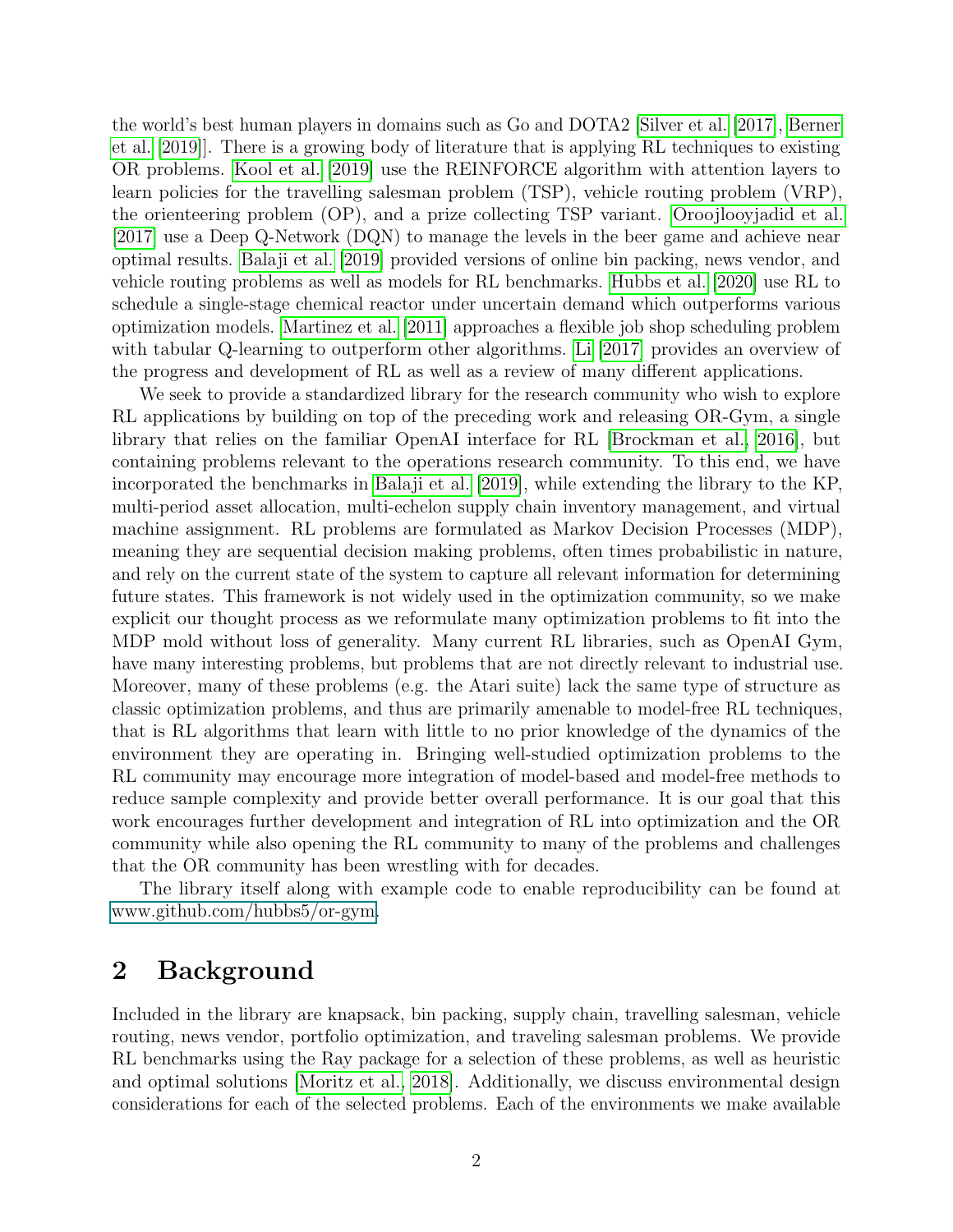the world's best human players in domains such as Go and DOTA2 [\[Silver et al.](#page-26-0) [\[2017\]](#page-26-0), [Berner](#page-23-0) [et al.](#page-23-0) [\[2019\]](#page-23-0)]. There is a growing body of literature that is applying RL techniques to existing OR problems. [Kool et al.](#page-25-0) [\[2019\]](#page-25-0) use the REINFORCE algorithm with attention layers to learn policies for the travelling salesman problem (TSP), vehicle routing problem (VRP), the orienteering problem (OP), and a prize collecting TSP variant. [Oroojlooyjadid et al.](#page-26-1) [\[2017\]](#page-26-1) use a Deep Q-Network (DQN) to manage the levels in the beer game and achieve near optimal results. [Balaji et al.](#page-23-1) [\[2019\]](#page-23-1) provided versions of online bin packing, news vendor, and vehicle routing problems as well as models for RL benchmarks. [Hubbs et al.](#page-25-1) [\[2020\]](#page-25-1) use RL to schedule a single-stage chemical reactor under uncertain demand which outperforms various optimization models. [Martinez et al.](#page-26-2) [\[2011\]](#page-26-2) approaches a flexible job shop scheduling problem with tabular Q-learning to outperform other algorithms. [Li](#page-25-2) [\[2017\]](#page-25-2) provides an overview of the progress and development of RL as well as a review of many different applications.

We seek to provide a standardized library for the research community who wish to explore RL applications by building on top of the preceding work and releasing OR-Gym, a single library that relies on the familiar OpenAI interface for RL [\[Brockman et al., 2016\]](#page-23-2), but containing problems relevant to the operations research community. To this end, we have incorporated the benchmarks in [Balaji et al.](#page-23-1) [\[2019\]](#page-23-1), while extending the library to the KP, multi-period asset allocation, multi-echelon supply chain inventory management, and virtual machine assignment. RL problems are formulated as Markov Decision Processes (MDP), meaning they are sequential decision making problems, often times probabilistic in nature, and rely on the current state of the system to capture all relevant information for determining future states. This framework is not widely used in the optimization community, so we make explicit our thought process as we reformulate many optimization problems to fit into the MDP mold without loss of generality. Many current RL libraries, such as OpenAI Gym, have many interesting problems, but problems that are not directly relevant to industrial use. Moreover, many of these problems (e.g. the Atari suite) lack the same type of structure as classic optimization problems, and thus are primarily amenable to model-free RL techniques, that is RL algorithms that learn with little to no prior knowledge of the dynamics of the environment they are operating in. Bringing well-studied optimization problems to the RL community may encourage more integration of model-based and model-free methods to reduce sample complexity and provide better overall performance. It is our goal that this work encourages further development and integration of RL into optimization and the OR community while also opening the RL community to many of the problems and challenges that the OR community has been wrestling with for decades.

The library itself along with example code to enable reproducibility can be found at [www.github.com/hubbs5/or-gym.](#page-0-0)

# 2 Background

Included in the library are knapsack, bin packing, supply chain, travelling salesman, vehicle routing, news vendor, portfolio optimization, and traveling salesman problems. We provide RL benchmarks using the Ray package for a selection of these problems, as well as heuristic and optimal solutions [\[Moritz et al., 2018\]](#page-26-3). Additionally, we discuss environmental design considerations for each of the selected problems. Each of the environments we make available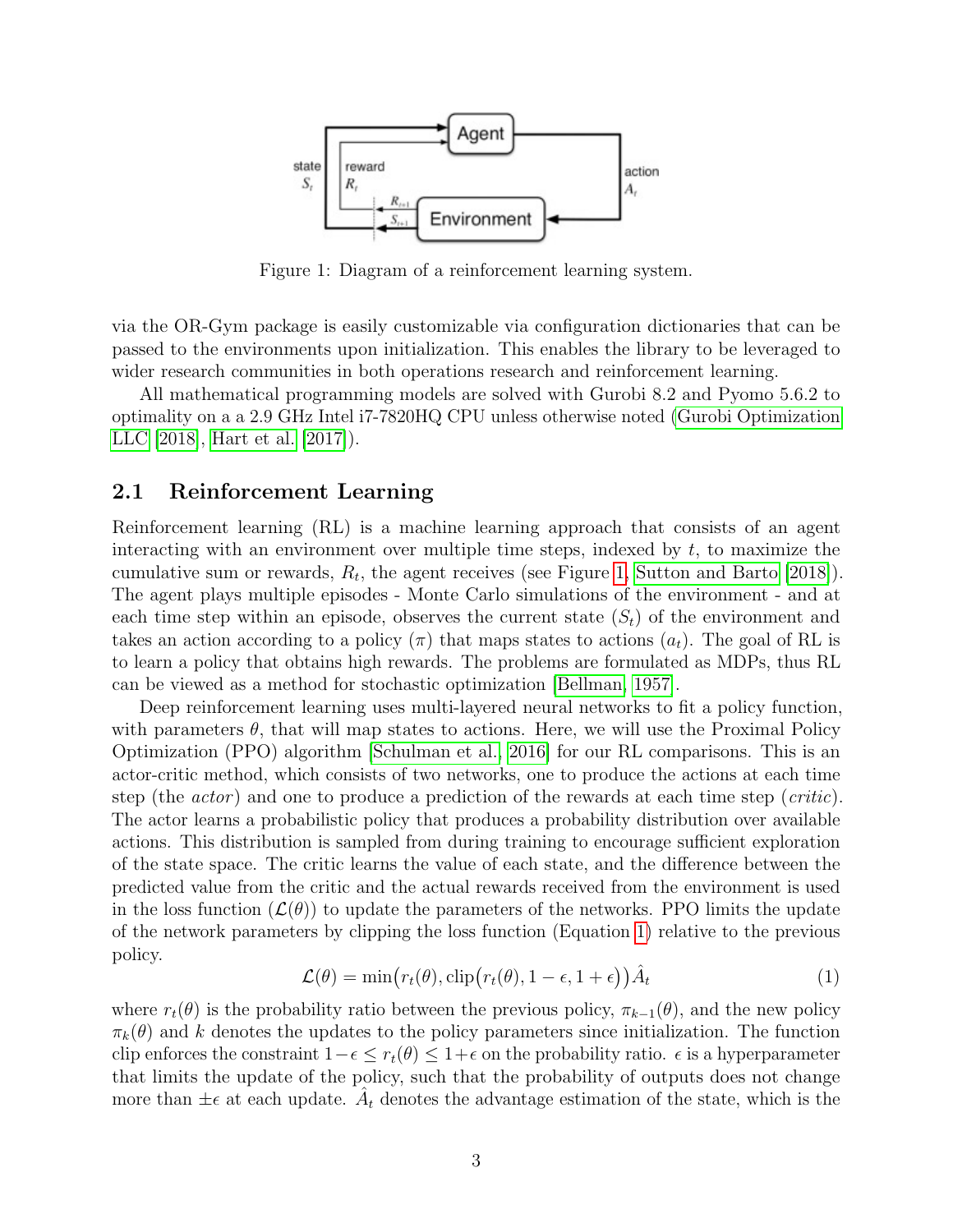<span id="page-2-0"></span>

Figure 1: Diagram of a reinforcement learning system.

via the OR-Gym package is easily customizable via configuration dictionaries that can be passed to the environments upon initialization. This enables the library to be leveraged to wider research communities in both operations research and reinforcement learning.

All mathematical programming models are solved with Gurobi 8.2 and Pyomo 5.6.2 to optimality on a a 2.9 GHz Intel i7-7820HQ CPU unless otherwise noted [\(Gurobi Optimization](#page-24-0) [LLC](#page-24-0) [\[2018\]](#page-24-0), [Hart et al.](#page-25-3) [\[2017\]](#page-25-3)).

#### 2.1 Reinforcement Learning

Reinforcement learning (RL) is a machine learning approach that consists of an agent interacting with an environment over multiple time steps, indexed by  $t$ , to maximize the cumulative sum or rewards,  $R_t$ , the agent receives (see Figure [1,](#page-2-0) [Sutton and Barto](#page-27-0) [\[2018\]](#page-27-0)). The agent plays multiple episodes - Monte Carlo simulations of the environment - and at each time step within an episode, observes the current state  $(S_t)$  of the environment and takes an action according to a policy  $(\pi)$  that maps states to actions  $(a_t)$ . The goal of RL is to learn a policy that obtains high rewards. The problems are formulated as MDPs, thus RL can be viewed as a method for stochastic optimization [\[Bellman, 1957\]](#page-23-3).

Deep reinforcement learning uses multi-layered neural networks to fit a policy function, with parameters  $\theta$ , that will map states to actions. Here, we will use the Proximal Policy Optimization (PPO) algorithm [\[Schulman et al., 2016\]](#page-26-4) for our RL comparisons. This is an actor-critic method, which consists of two networks, one to produce the actions at each time step (the  $actor$ ) and one to produce a prediction of the rewards at each time step (*critic*). The actor learns a probabilistic policy that produces a probability distribution over available actions. This distribution is sampled from during training to encourage sufficient exploration of the state space. The critic learns the value of each state, and the difference between the predicted value from the critic and the actual rewards received from the environment is used in the loss function  $(\mathcal{L}(\theta))$  to update the parameters of the networks. PPO limits the update of the network parameters by clipping the loss function (Equation [1\)](#page-2-1) relative to the previous policy.

$$
\mathcal{L}(\theta) = \min(r_t(\theta), \text{clip}(r_t(\theta), 1 - \epsilon, 1 + \epsilon))\hat{A}_t
$$
\n(1)

<span id="page-2-1"></span>where  $r_t(\theta)$  is the probability ratio between the previous policy,  $\pi_{k-1}(\theta)$ , and the new policy  $\pi_k(\theta)$  and k denotes the updates to the policy parameters since initialization. The function clip enforces the constraint  $1-\epsilon \leq r_t(\theta) \leq 1+\epsilon$  on the probability ratio.  $\epsilon$  is a hyperparameter that limits the update of the policy, such that the probability of outputs does not change more than  $\pm \epsilon$  at each update.  $\hat{A}_t$  denotes the advantage estimation of the state, which is the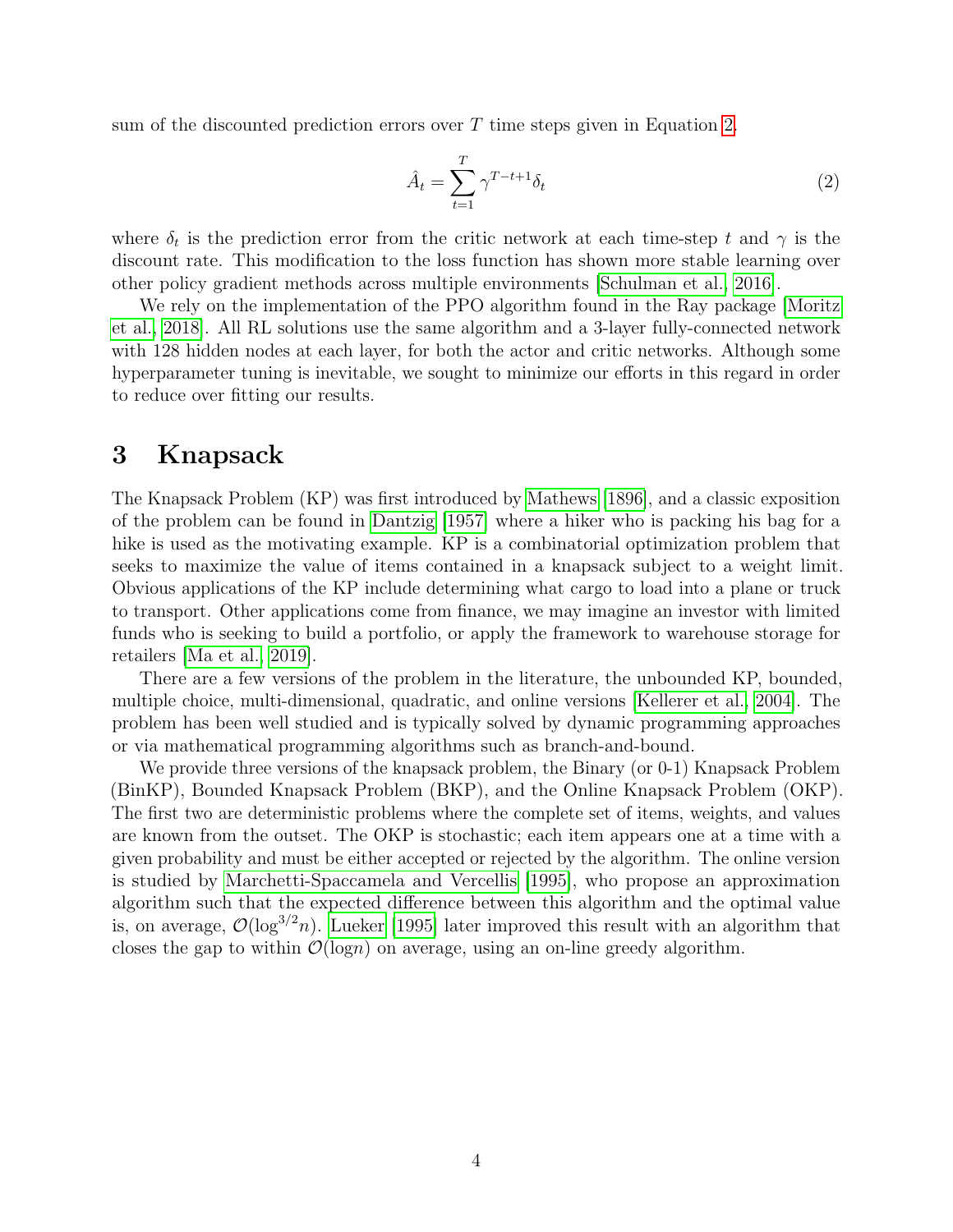sum of the discounted prediction errors over  $T$  time steps given in Equation [2.](#page-3-0)

<span id="page-3-0"></span>
$$
\hat{A}_t = \sum_{t=1}^T \gamma^{T-t+1} \delta_t \tag{2}
$$

where  $\delta_t$  is the prediction error from the critic network at each time-step t and  $\gamma$  is the discount rate. This modification to the loss function has shown more stable learning over other policy gradient methods across multiple environments [\[Schulman et al., 2016\]](#page-26-4).

We rely on the implementation of the PPO algorithm found in the Ray package [\[Moritz](#page-26-3) [et al., 2018\]](#page-26-3). All RL solutions use the same algorithm and a 3-layer fully-connected network with 128 hidden nodes at each layer, for both the actor and critic networks. Although some hyperparameter tuning is inevitable, we sought to minimize our efforts in this regard in order to reduce over fitting our results.

# 3 Knapsack

The Knapsack Problem (KP) was first introduced by [Mathews](#page-26-5) [\[1896\]](#page-26-5), and a classic exposition of the problem can be found in [Dantzig](#page-24-1) [\[1957\]](#page-24-1) where a hiker who is packing his bag for a hike is used as the motivating example. KP is a combinatorial optimization problem that seeks to maximize the value of items contained in a knapsack subject to a weight limit. Obvious applications of the KP include determining what cargo to load into a plane or truck to transport. Other applications come from finance, we may imagine an investor with limited funds who is seeking to build a portfolio, or apply the framework to warehouse storage for retailers [\[Ma et al., 2019\]](#page-25-4).

There are a few versions of the problem in the literature, the unbounded KP, bounded, multiple choice, multi-dimensional, quadratic, and online versions [\[Kellerer et al., 2004\]](#page-25-5). The problem has been well studied and is typically solved by dynamic programming approaches or via mathematical programming algorithms such as branch-and-bound.

We provide three versions of the knapsack problem, the Binary (or 0-1) Knapsack Problem (BinKP), Bounded Knapsack Problem (BKP), and the Online Knapsack Problem (OKP). The first two are deterministic problems where the complete set of items, weights, and values are known from the outset. The OKP is stochastic; each item appears one at a time with a given probability and must be either accepted or rejected by the algorithm. The online version is studied by [Marchetti-Spaccamela and Vercellis](#page-26-6) [\[1995\]](#page-26-6), who propose an approximation algorithm such that the expected difference between this algorithm and the optimal value is, on average,  $\mathcal{O}(\log^{3/2}n)$ . [Lueker](#page-25-6) [\[1995\]](#page-25-6) later improved this result with an algorithm that closes the gap to within  $\mathcal{O}(\text{log}n)$  on average, using an on-line greedy algorithm.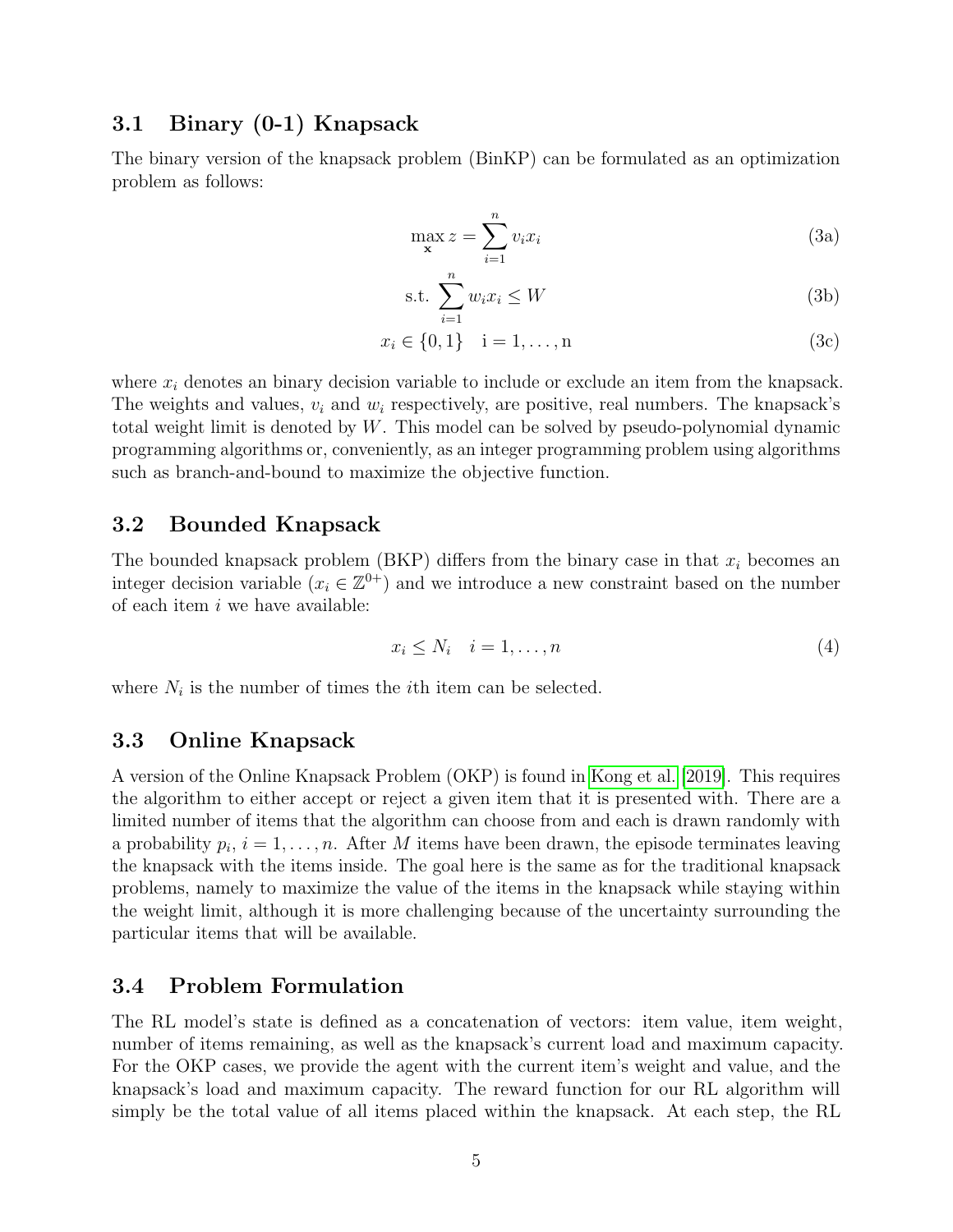### 3.1 Binary (0-1) Knapsack

The binary version of the knapsack problem (BinKP) can be formulated as an optimization problem as follows:

$$
\max_{\mathbf{x}} z = \sum_{i=1}^{n} v_i x_i
$$
 (3a)

$$
\text{s.t. } \sum_{i=1}^{n} w_i x_i \le W \tag{3b}
$$

$$
x_i \in \{0, 1\} \quad i = 1, \dots, n \tag{3c}
$$

where  $x_i$  denotes an binary decision variable to include or exclude an item from the knapsack. The weights and values,  $v_i$  and  $w_i$  respectively, are positive, real numbers. The knapsack's total weight limit is denoted by W. This model can be solved by pseudo-polynomial dynamic programming algorithms or, conveniently, as an integer programming problem using algorithms such as branch-and-bound to maximize the objective function.

## 3.2 Bounded Knapsack

The bounded knapsack problem (BKP) differs from the binary case in that  $x_i$  becomes an integer decision variable  $(x_i \in \mathbb{Z}^{0+})$  and we introduce a new constraint based on the number of each item  $i$  we have available:

$$
x_i \le N_i \quad i = 1, \dots, n \tag{4}
$$

where  $N_i$  is the number of times the *i*th item can be selected.

#### 3.3 Online Knapsack

A version of the Online Knapsack Problem (OKP) is found in [Kong et al.](#page-25-7) [\[2019\]](#page-25-7). This requires the algorithm to either accept or reject a given item that it is presented with. There are a limited number of items that the algorithm can choose from and each is drawn randomly with a probability  $p_i$ ,  $i = 1, \ldots, n$ . After M items have been drawn, the episode terminates leaving the knapsack with the items inside. The goal here is the same as for the traditional knapsack problems, namely to maximize the value of the items in the knapsack while staying within the weight limit, although it is more challenging because of the uncertainty surrounding the particular items that will be available.

### 3.4 Problem Formulation

The RL model's state is defined as a concatenation of vectors: item value, item weight, number of items remaining, as well as the knapsack's current load and maximum capacity. For the OKP cases, we provide the agent with the current item's weight and value, and the knapsack's load and maximum capacity. The reward function for our RL algorithm will simply be the total value of all items placed within the knapsack. At each step, the RL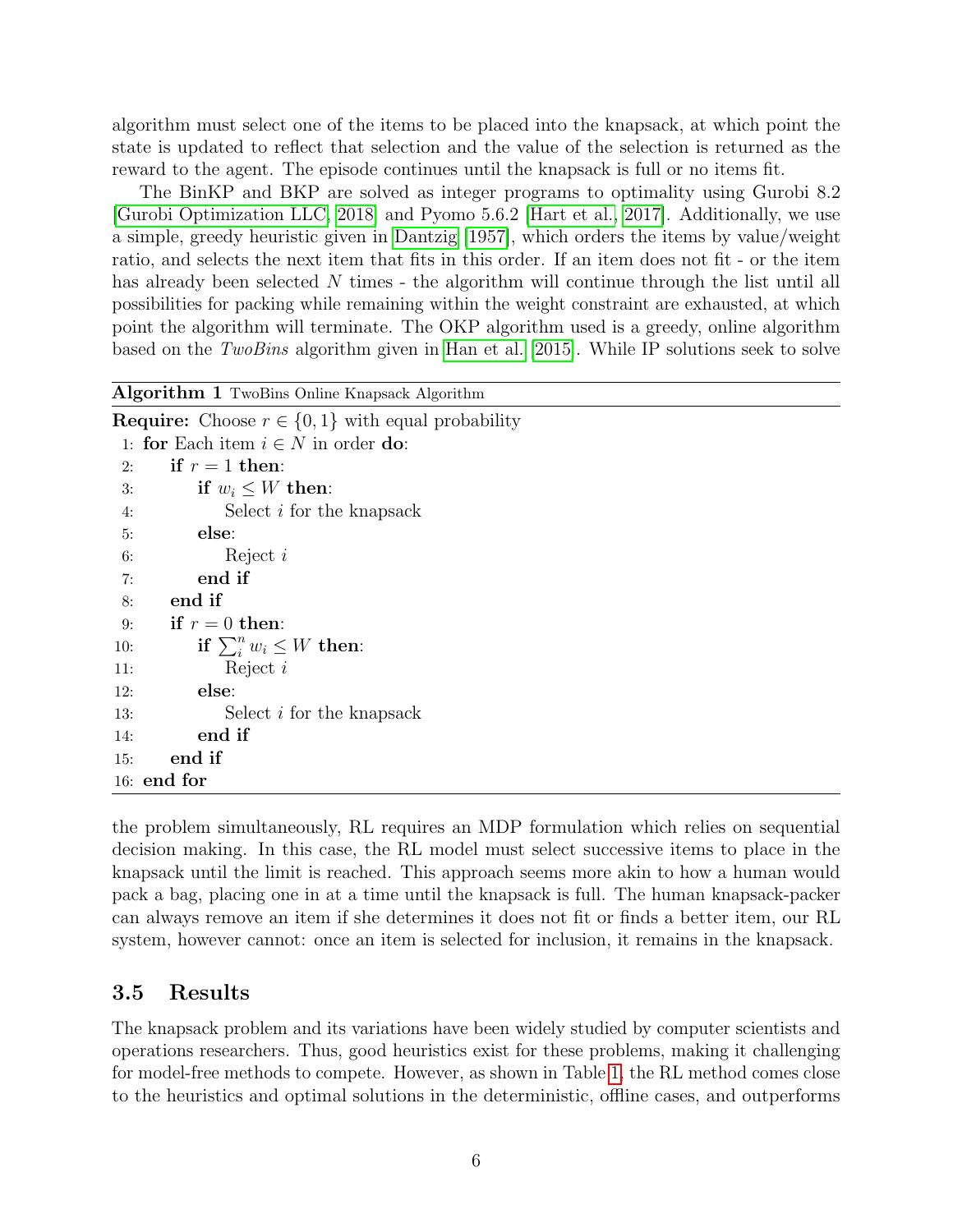algorithm must select one of the items to be placed into the knapsack, at which point the state is updated to reflect that selection and the value of the selection is returned as the reward to the agent. The episode continues until the knapsack is full or no items fit.

The BinKP and BKP are solved as integer programs to optimality using Gurobi 8.2 [\[Gurobi Optimization LLC, 2018\]](#page-24-0) and Pyomo 5.6.2 [\[Hart et al., 2017\]](#page-25-3). Additionally, we use a simple, greedy heuristic given in [Dantzig](#page-24-1) [\[1957\]](#page-24-1), which orders the items by value/weight ratio, and selects the next item that fits in this order. If an item does not fit - or the item has already been selected N times - the algorithm will continue through the list until all possibilities for packing while remaining within the weight constraint are exhausted, at which point the algorithm will terminate. The OKP algorithm used is a greedy, online algorithm based on the TwoBins algorithm given in [Han et al.](#page-25-8)  $[2015]$ . While IP solutions seek to solve

| Algorithm 1 TwoBins Online Knapsack Algorithm                 |
|---------------------------------------------------------------|
| <b>Require:</b> Choose $r \in \{0,1\}$ with equal probability |
| 1: for Each item $i \in N$ in order do:                       |
| if $r = 1$ then:<br>2:                                        |
| if $w_i \leq W$ then:<br>3:                                   |
| Select $i$ for the knapsack<br>4:                             |
| else:<br>5:                                                   |
| Reject $i$<br>6:                                              |
| end if<br>7:                                                  |
| end if<br>8:                                                  |
| if $r = 0$ then:<br>9:                                        |
| if $\sum_{i=1}^{n} w_i \leq W$ then:<br>10:                   |
| Reject $i$<br>11:                                             |
| else:<br>12:                                                  |
| Select <i>i</i> for the knapsack<br>13:                       |
| end if<br>14:                                                 |
| end if<br>15:                                                 |
| $16:$ end for                                                 |

the problem simultaneously, RL requires an MDP formulation which relies on sequential decision making. In this case, the RL model must select successive items to place in the knapsack until the limit is reached. This approach seems more akin to how a human would pack a bag, placing one in at a time until the knapsack is full. The human knapsack-packer can always remove an item if she determines it does not fit or finds a better item, our RL system, however cannot: once an item is selected for inclusion, it remains in the knapsack.

## 3.5 Results

The knapsack problem and its variations have been widely studied by computer scientists and operations researchers. Thus, good heuristics exist for these problems, making it challenging for model-free methods to compete. However, as shown in Table [1,](#page-6-0) the RL method comes close to the heuristics and optimal solutions in the deterministic, offline cases, and outperforms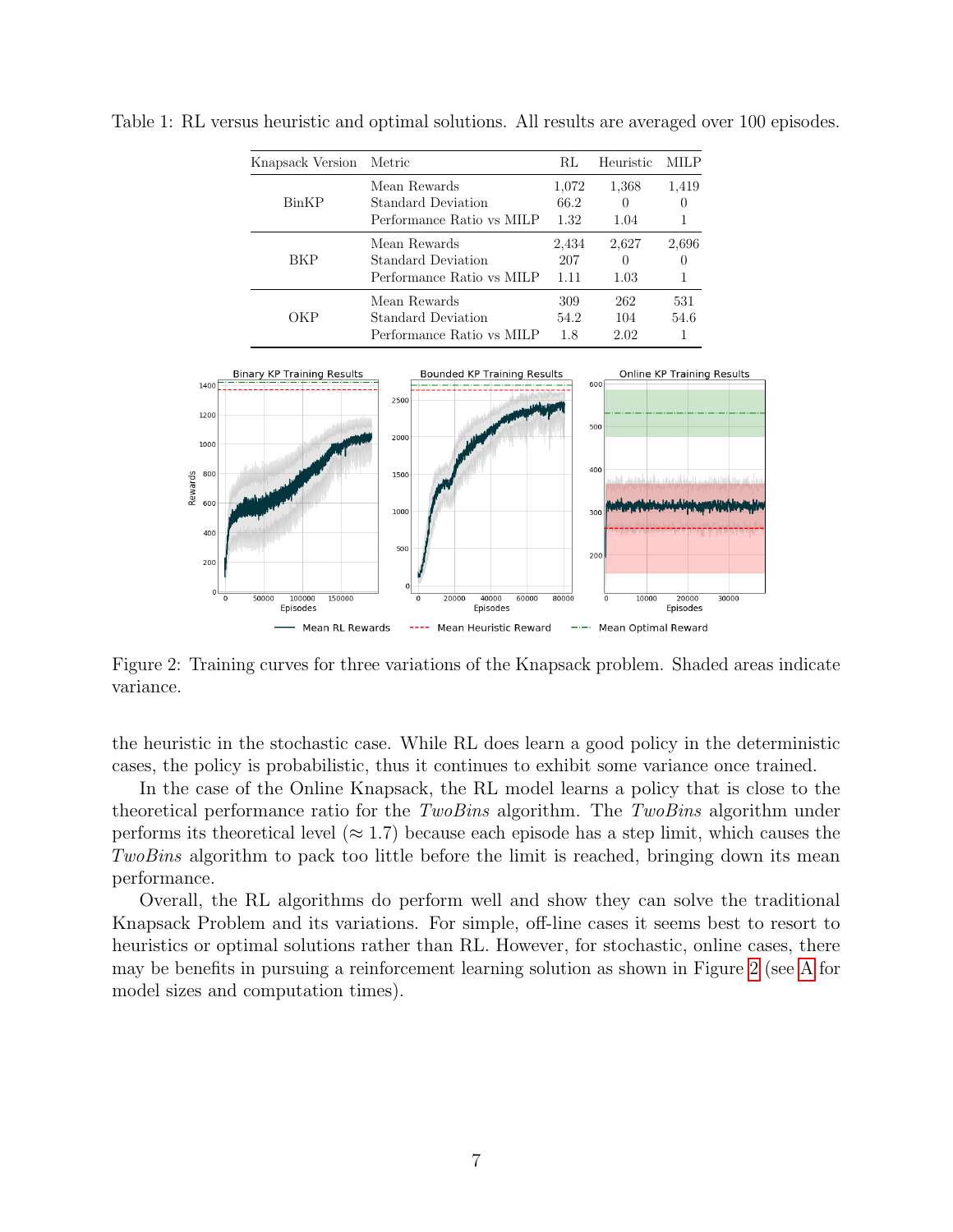| Knapsack Version Metric |                                                                 | RL                    | Heuristic                         | MILP        |
|-------------------------|-----------------------------------------------------------------|-----------------------|-----------------------------------|-------------|
| BinKP                   | Mean Rewards<br>Standard Deviation<br>Performance Ratio vs MILP | 1,072<br>66.2<br>1.32 | 1,368<br>$\theta$<br>1.04         | 1,419       |
| BKP                     | Mean Rewards<br>Standard Deviation<br>Performance Ratio vs MILP | 2,434<br>207<br>1.11  | 2,627<br>$\left( \right)$<br>1.03 | 2,696       |
| ОКР                     | Mean Rewards<br>Standard Deviation<br>Performance Ratio vs MILP | 309<br>54.2<br>1.8    | 262<br>104<br>2.02                | 531<br>54.6 |

<span id="page-6-0"></span>Table 1: RL versus heuristic and optimal solutions. All results are averaged over 100 episodes.

<span id="page-6-1"></span>

Figure 2: Training curves for three variations of the Knapsack problem. Shaded areas indicate variance.

the heuristic in the stochastic case. While RL does learn a good policy in the deterministic cases, the policy is probabilistic, thus it continues to exhibit some variance once trained.

In the case of the Online Knapsack, the RL model learns a policy that is close to the theoretical performance ratio for the TwoBins algorithm. The TwoBins algorithm under performs its theoretical level ( $\approx 1.7$ ) because each episode has a step limit, which causes the TwoBins algorithm to pack too little before the limit is reached, bringing down its mean performance.

Overall, the RL algorithms do perform well and show they can solve the traditional Knapsack Problem and its variations. For simple, off-line cases it seems best to resort to heuristics or optimal solutions rather than RL. However, for stochastic, online cases, there may be benefits in pursuing a reinforcement learning solution as shown in Figure [2](#page-6-1) (see [A](#page-28-0) for model sizes and computation times).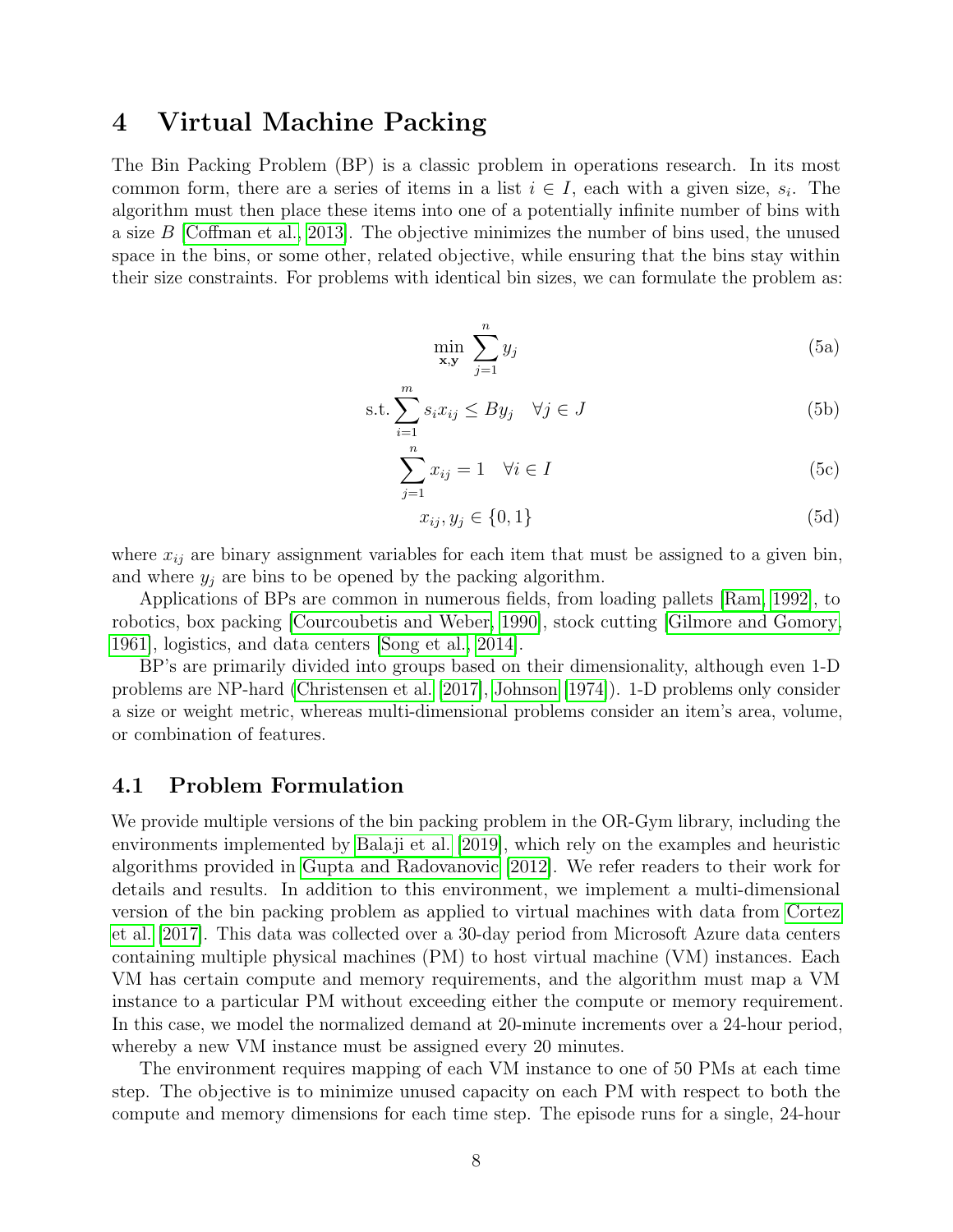# 4 Virtual Machine Packing

The Bin Packing Problem (BP) is a classic problem in operations research. In its most common form, there are a series of items in a list  $i \in I$ , each with a given size,  $s_i$ . The algorithm must then place these items into one of a potentially infinite number of bins with a size B [\[Coffman et al., 2013\]](#page-24-2). The objective minimizes the number of bins used, the unused space in the bins, or some other, related objective, while ensuring that the bins stay within their size constraints. For problems with identical bin sizes, we can formulate the problem as:

$$
\min_{\mathbf{x}, \mathbf{y}} \sum_{j=1}^{n} y_j \tag{5a}
$$

$$
\text{s.t.} \sum_{i=1}^{m} s_i x_{ij} \leq By_j \quad \forall j \in J \tag{5b}
$$

$$
\sum_{j=1}^{n} x_{ij} = 1 \quad \forall i \in I
$$
\n(5c)

$$
x_{ij}, y_j \in \{0, 1\} \tag{5d}
$$

where  $x_{ij}$  are binary assignment variables for each item that must be assigned to a given bin, and where  $y_i$  are bins to be opened by the packing algorithm.

Applications of BPs are common in numerous fields, from loading pallets [\[Ram, 1992\]](#page-26-7), to robotics, box packing [\[Courcoubetis and Weber, 1990\]](#page-24-3), stock cutting [\[Gilmore and Gomory,](#page-24-4) [1961\]](#page-24-4), logistics, and data centers [\[Song et al., 2014\]](#page-27-1).

BP's are primarily divided into groups based on their dimensionality, although even 1-D problems are NP-hard [\(Christensen et al.](#page-23-4) [\[2017\]](#page-23-4), [Johnson](#page-25-9) [\[1974\]](#page-25-9)). 1-D problems only consider a size or weight metric, whereas multi-dimensional problems consider an item's area, volume, or combination of features.

### 4.1 Problem Formulation

We provide multiple versions of the bin packing problem in the OR-Gym library, including the environments implemented by [Balaji et al.](#page-23-1) [\[2019\]](#page-23-1), which rely on the examples and heuristic algorithms provided in [Gupta and Radovanovic](#page-24-5) [\[2012\]](#page-24-5). We refer readers to their work for details and results. In addition to this environment, we implement a multi-dimensional version of the bin packing problem as applied to virtual machines with data from [Cortez](#page-24-6) [et al.](#page-24-6) [\[2017\]](#page-24-6). This data was collected over a 30-day period from Microsoft Azure data centers containing multiple physical machines (PM) to host virtual machine (VM) instances. Each VM has certain compute and memory requirements, and the algorithm must map a VM instance to a particular PM without exceeding either the compute or memory requirement. In this case, we model the normalized demand at 20-minute increments over a 24-hour period, whereby a new VM instance must be assigned every 20 minutes.

The environment requires mapping of each VM instance to one of 50 PMs at each time step. The objective is to minimize unused capacity on each PM with respect to both the compute and memory dimensions for each time step. The episode runs for a single, 24-hour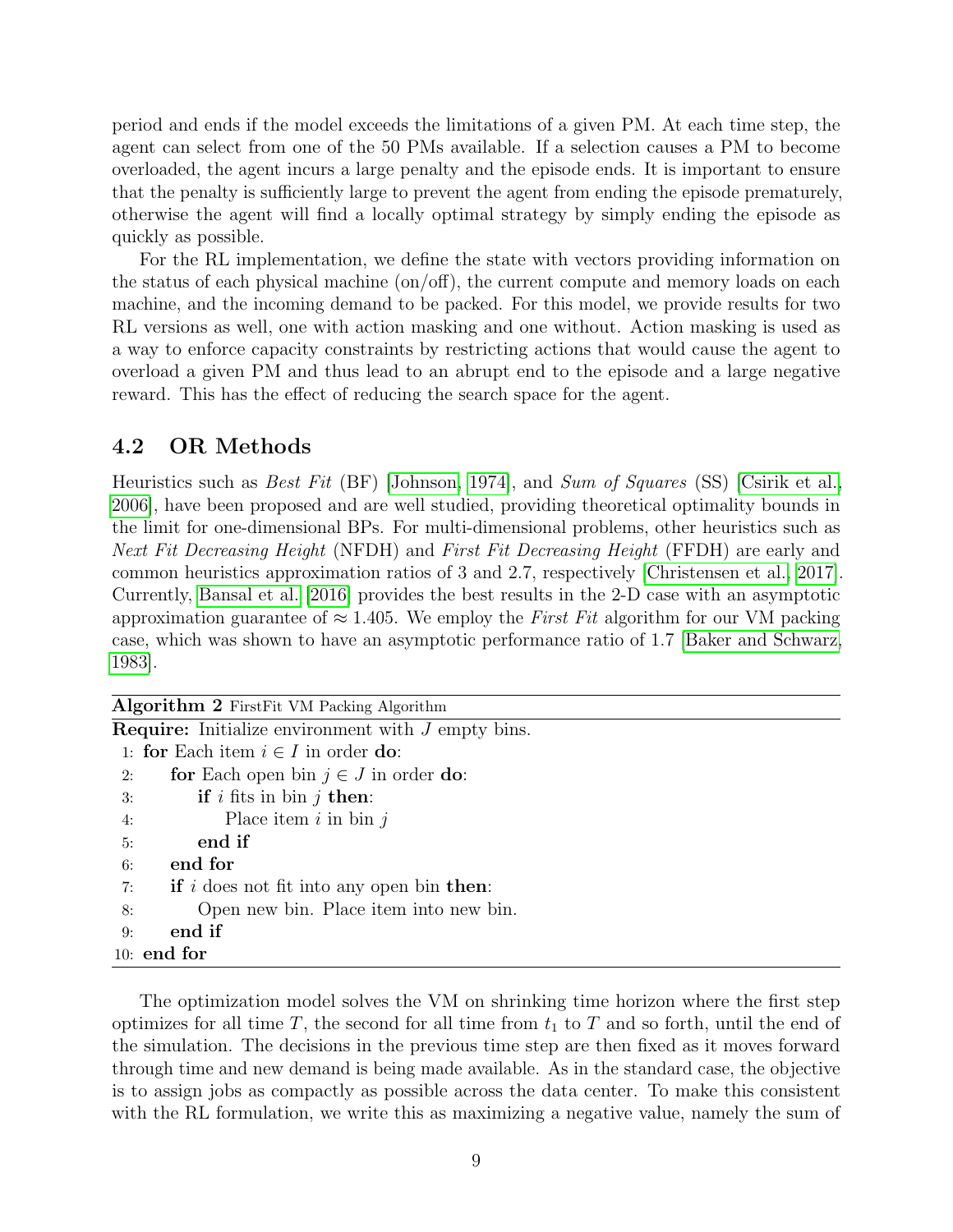period and ends if the model exceeds the limitations of a given PM. At each time step, the agent can select from one of the 50 PMs available. If a selection causes a PM to become overloaded, the agent incurs a large penalty and the episode ends. It is important to ensure that the penalty is sufficiently large to prevent the agent from ending the episode prematurely, otherwise the agent will find a locally optimal strategy by simply ending the episode as quickly as possible.

For the RL implementation, we define the state with vectors providing information on the status of each physical machine (on/off), the current compute and memory loads on each machine, and the incoming demand to be packed. For this model, we provide results for two RL versions as well, one with action masking and one without. Action masking is used as a way to enforce capacity constraints by restricting actions that would cause the agent to overload a given PM and thus lead to an abrupt end to the episode and a large negative reward. This has the effect of reducing the search space for the agent.

## 4.2 OR Methods

Heuristics such as Best Fit (BF) [\[Johnson, 1974\]](#page-25-9), and Sum of Squares (SS) [\[Csirik et al.,](#page-24-7) [2006\]](#page-24-7), have been proposed and are well studied, providing theoretical optimality bounds in the limit for one-dimensional BPs. For multi-dimensional problems, other heuristics such as Next Fit Decreasing Height (NFDH) and First Fit Decreasing Height (FFDH) are early and common heuristics approximation ratios of 3 and 2.7, respectively [\[Christensen et al., 2017\]](#page-23-4). Currently, [Bansal et al.](#page-23-5) [\[2016\]](#page-23-5) provides the best results in the 2-D case with an asymptotic approximation guarantee of  $\approx 1.405$ . We employ the First Fit algorithm for our VM packing case, which was shown to have an asymptotic performance ratio of 1.7 [\[Baker and Schwarz,](#page-23-6) [1983\]](#page-23-6).

| <b>Algorithm 2</b> First Fit VM Packing Algorithm           |  |  |  |  |  |  |
|-------------------------------------------------------------|--|--|--|--|--|--|
| <b>Require:</b> Initialize environment with J empty bins.   |  |  |  |  |  |  |
| 1: for Each item $i \in I$ in order do:                     |  |  |  |  |  |  |
| for Each open bin $j \in J$ in order do:<br>2:              |  |  |  |  |  |  |
| <b>if</b> i fits in bin j then:<br>3:                       |  |  |  |  |  |  |
| Place item $i$ in bin $j$<br>4:                             |  |  |  |  |  |  |
| end if<br>5:                                                |  |  |  |  |  |  |
| end for<br>6:                                               |  |  |  |  |  |  |
| 7: <b>if</b> i does not fit into any open bin <b>then</b> : |  |  |  |  |  |  |
| Open new bin. Place item into new bin.<br>8:                |  |  |  |  |  |  |
| end if<br>9:                                                |  |  |  |  |  |  |
| $10:$ end for                                               |  |  |  |  |  |  |

The optimization model solves the VM on shrinking time horizon where the first step optimizes for all time T, the second for all time from  $t_1$  to T and so forth, until the end of the simulation. The decisions in the previous time step are then fixed as it moves forward through time and new demand is being made available. As in the standard case, the objective is to assign jobs as compactly as possible across the data center. To make this consistent with the RL formulation, we write this as maximizing a negative value, namely the sum of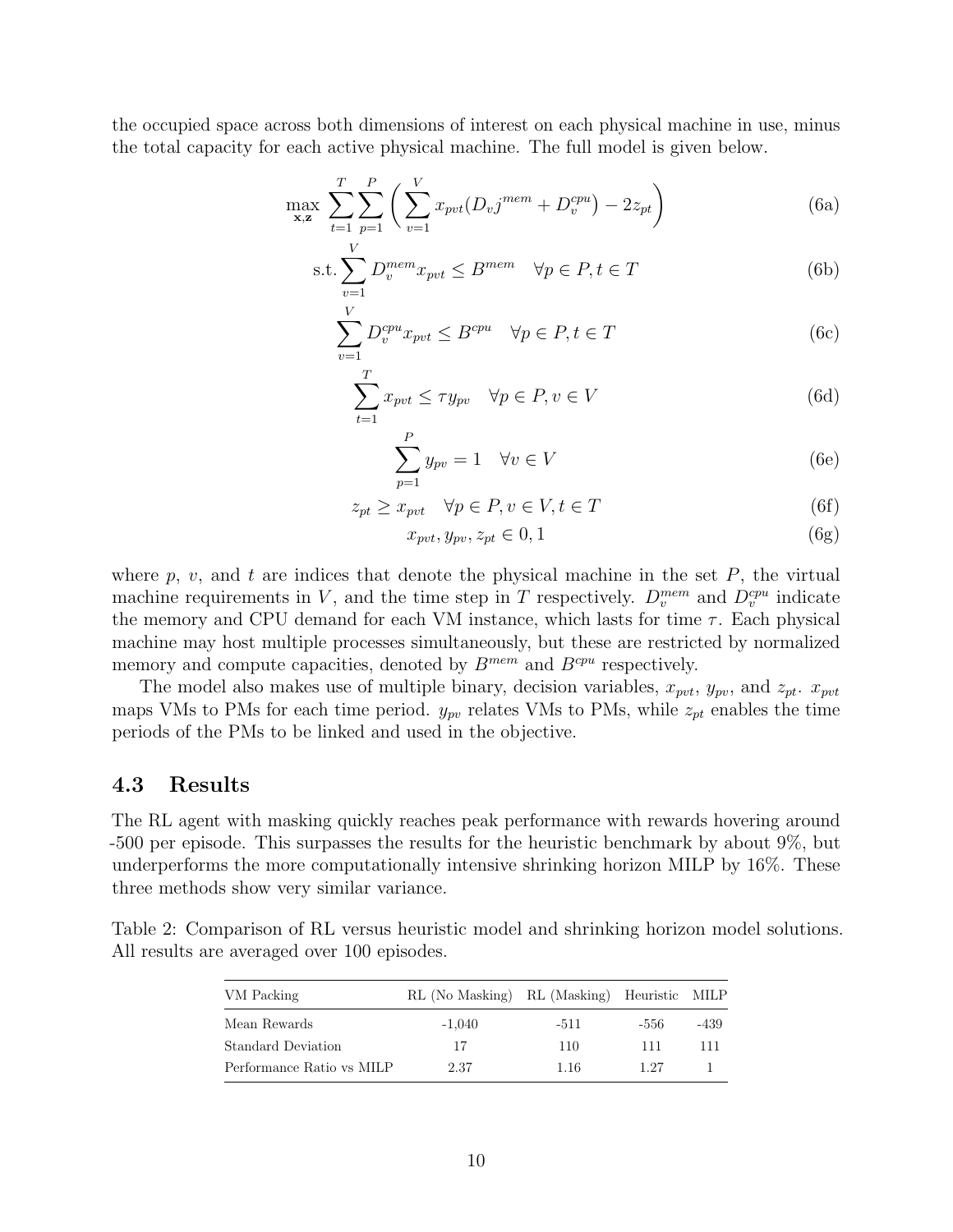the occupied space across both dimensions of interest on each physical machine in use, minus the total capacity for each active physical machine. The full model is given below.

$$
\max_{\mathbf{x},\mathbf{z}} \sum_{t=1}^{T} \sum_{p=1}^{P} \left( \sum_{v=1}^{V} x_{pvt} (D_v j^{mem} + D_v^{cpu}) - 2z_{pt} \right)
$$
(6a)

$$
\text{s.t.} \sum_{v=1}^{V} D_v^{mem} x_{pvt} \le B^{mem} \quad \forall p \in P, t \in T
$$
\n
$$
(6b)
$$

$$
\sum_{v=1}^{V} D_v^{cpu} x_{pvt} \le B^{cpu} \quad \forall p \in P, t \in T
$$
\n(6c)

$$
\sum_{t=1}^{T} x_{pvt} \le \tau y_{pv} \quad \forall p \in P, v \in V
$$
\n(6d)

$$
\sum_{p=1}^{P} y_{pv} = 1 \quad \forall v \in V \tag{6e}
$$

$$
z_{pt} \ge x_{pvt} \quad \forall p \in P, v \in V, t \in T \tag{6f}
$$

$$
x_{pvt}, y_{pv}, z_{pt} \in 0, 1 \tag{6g}
$$

where p, v, and t are indices that denote the physical machine in the set  $P$ , the virtual machine requirements in V, and the time step in T respectively.  $D_v^{mem}$  and  $D_v^{cpu}$  indicate the memory and CPU demand for each VM instance, which lasts for time  $\tau$ . Each physical machine may host multiple processes simultaneously, but these are restricted by normalized memory and compute capacities, denoted by  $B^{mem}$  and  $B^{cpu}$  respectively.

The model also makes use of multiple binary, decision variables,  $x_{\text{pvt}}$ ,  $y_{\text{pv}}$ , and  $z_{\text{pt}}$ .  $x_{\text{pvt}}$ maps VMs to PMs for each time period.  $y_{pv}$  relates VMs to PMs, while  $z_{pt}$  enables the time periods of the PMs to be linked and used in the objective.

#### 4.3 Results

The RL agent with masking quickly reaches peak performance with rewards hovering around -500 per episode. This surpasses the results for the heuristic benchmark by about 9%, but underperforms the more computationally intensive shrinking horizon MILP by 16%. These three methods show very similar variance.

|                                             |  |  |  | Table 2: Comparison of RL versus heuristic model and shrinking horizon model solutions. |  |  |
|---------------------------------------------|--|--|--|-----------------------------------------------------------------------------------------|--|--|
| All results are averaged over 100 episodes. |  |  |  |                                                                                         |  |  |

| VM Packing                | RL (No Masking) RL (Masking) Heuristic MILP |        |      |      |
|---------------------------|---------------------------------------------|--------|------|------|
| Mean Rewards              | $-1.040$                                    | $-511$ | -556 | -439 |
| Standard Deviation        | 17                                          | 110    | 111  | 111  |
| Performance Ratio vs MILP | 2.37                                        | 1.16   | 1 27 |      |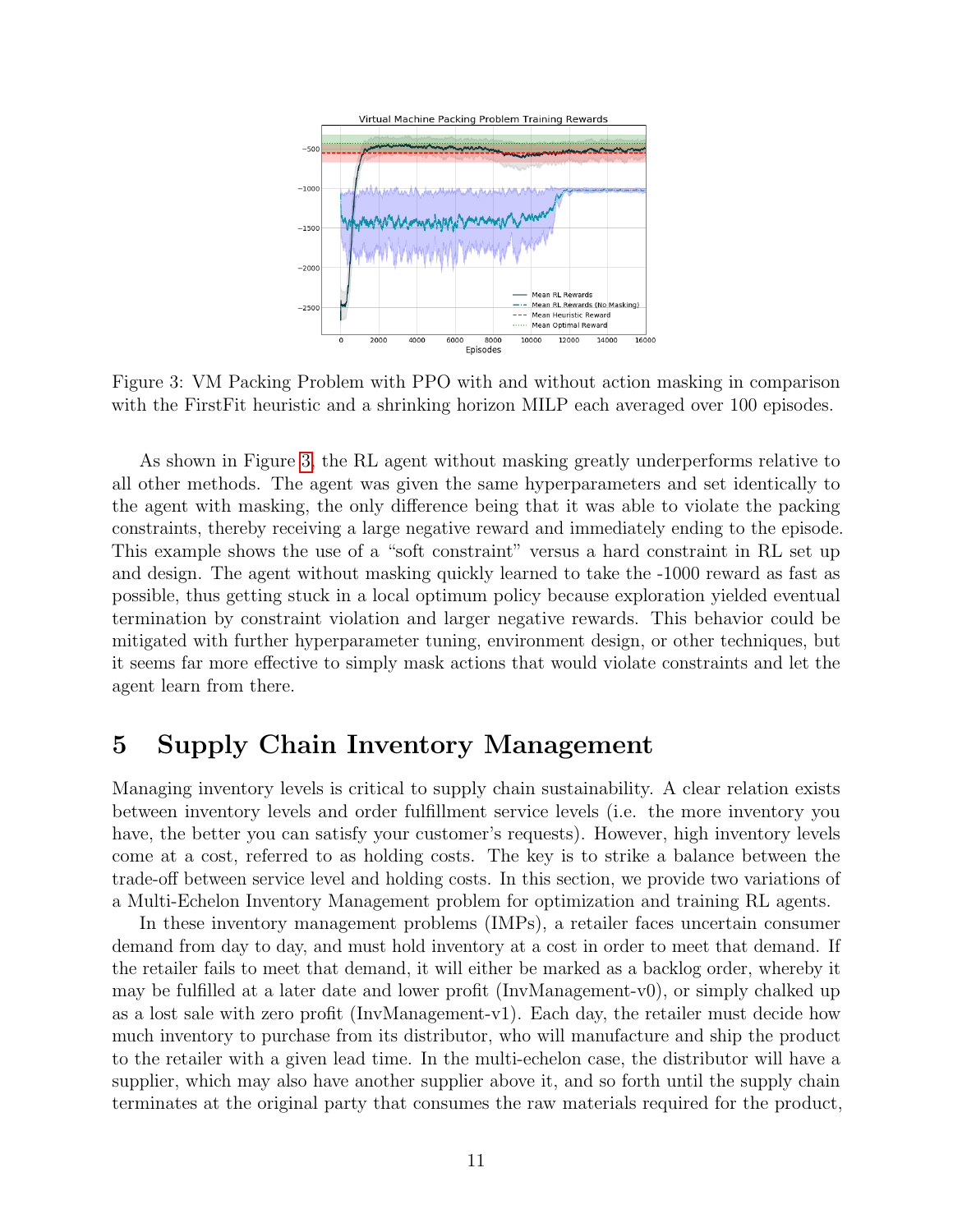<span id="page-10-0"></span>

Figure 3: VM Packing Problem with PPO with and without action masking in comparison with the FirstFit heuristic and a shrinking horizon MILP each averaged over 100 episodes.

As shown in Figure [3,](#page-10-0) the RL agent without masking greatly underperforms relative to all other methods. The agent was given the same hyperparameters and set identically to the agent with masking, the only difference being that it was able to violate the packing constraints, thereby receiving a large negative reward and immediately ending to the episode. This example shows the use of a "soft constraint" versus a hard constraint in RL set up and design. The agent without masking quickly learned to take the -1000 reward as fast as possible, thus getting stuck in a local optimum policy because exploration yielded eventual termination by constraint violation and larger negative rewards. This behavior could be mitigated with further hyperparameter tuning, environment design, or other techniques, but it seems far more effective to simply mask actions that would violate constraints and let the agent learn from there.

# 5 Supply Chain Inventory Management

Managing inventory levels is critical to supply chain sustainability. A clear relation exists between inventory levels and order fulfillment service levels (i.e. the more inventory you have, the better you can satisfy your customer's requests). However, high inventory levels come at a cost, referred to as holding costs. The key is to strike a balance between the trade-off between service level and holding costs. In this section, we provide two variations of a Multi-Echelon Inventory Management problem for optimization and training RL agents.

In these inventory management problems (IMPs), a retailer faces uncertain consumer demand from day to day, and must hold inventory at a cost in order to meet that demand. If the retailer fails to meet that demand, it will either be marked as a backlog order, whereby it may be fulfilled at a later date and lower profit (InvManagement-v0), or simply chalked up as a lost sale with zero profit (InvManagement-v1). Each day, the retailer must decide how much inventory to purchase from its distributor, who will manufacture and ship the product to the retailer with a given lead time. In the multi-echelon case, the distributor will have a supplier, which may also have another supplier above it, and so forth until the supply chain terminates at the original party that consumes the raw materials required for the product,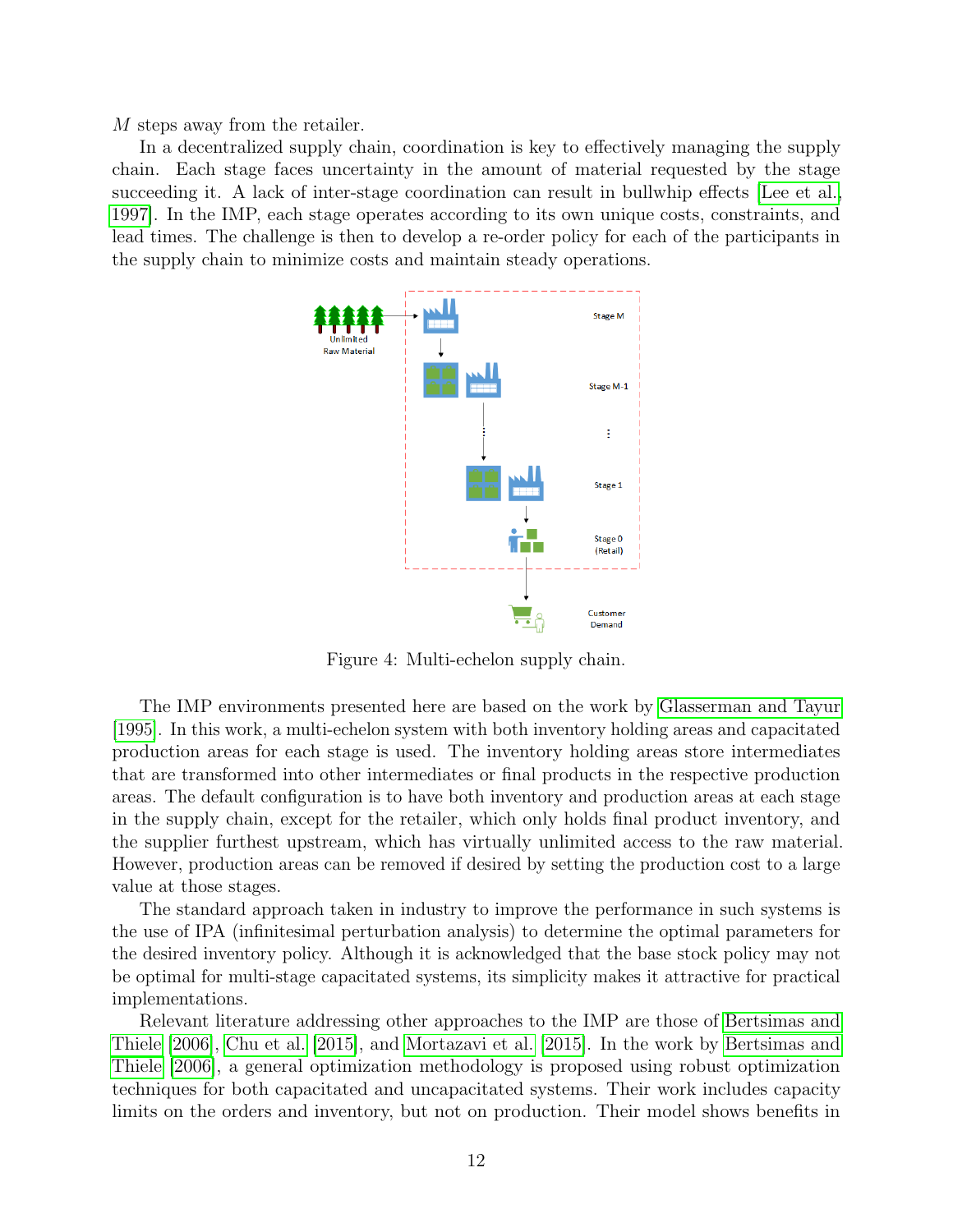M steps away from the retailer.

<span id="page-11-0"></span>In a decentralized supply chain, coordination is key to effectively managing the supply chain. Each stage faces uncertainty in the amount of material requested by the stage succeeding it. A lack of inter-stage coordination can result in bullwhip effects [\[Lee et al.,](#page-25-10) [1997\]](#page-25-10). In the IMP, each stage operates according to its own unique costs, constraints, and lead times. The challenge is then to develop a re-order policy for each of the participants in the supply chain to minimize costs and maintain steady operations.



Figure 4: Multi-echelon supply chain.

The IMP environments presented here are based on the work by [Glasserman and Tayur](#page-24-8) [\[1995\]](#page-24-8). In this work, a multi-echelon system with both inventory holding areas and capacitated production areas for each stage is used. The inventory holding areas store intermediates that are transformed into other intermediates or final products in the respective production areas. The default configuration is to have both inventory and production areas at each stage in the supply chain, except for the retailer, which only holds final product inventory, and the supplier furthest upstream, which has virtually unlimited access to the raw material. However, production areas can be removed if desired by setting the production cost to a large value at those stages.

The standard approach taken in industry to improve the performance in such systems is the use of IPA (infinitesimal perturbation analysis) to determine the optimal parameters for the desired inventory policy. Although it is acknowledged that the base stock policy may not be optimal for multi-stage capacitated systems, its simplicity makes it attractive for practical implementations.

Relevant literature addressing other approaches to the IMP are those of [Bertsimas and](#page-23-7) [Thiele](#page-23-7) [\[2006\]](#page-23-7), [Chu et al.](#page-23-8) [\[2015\]](#page-23-8), and [Mortazavi et al.](#page-26-8) [\[2015\]](#page-26-8). In the work by [Bertsimas and](#page-23-7) [Thiele](#page-23-7) [\[2006\]](#page-23-7), a general optimization methodology is proposed using robust optimization techniques for both capacitated and uncapacitated systems. Their work includes capacity limits on the orders and inventory, but not on production. Their model shows benefits in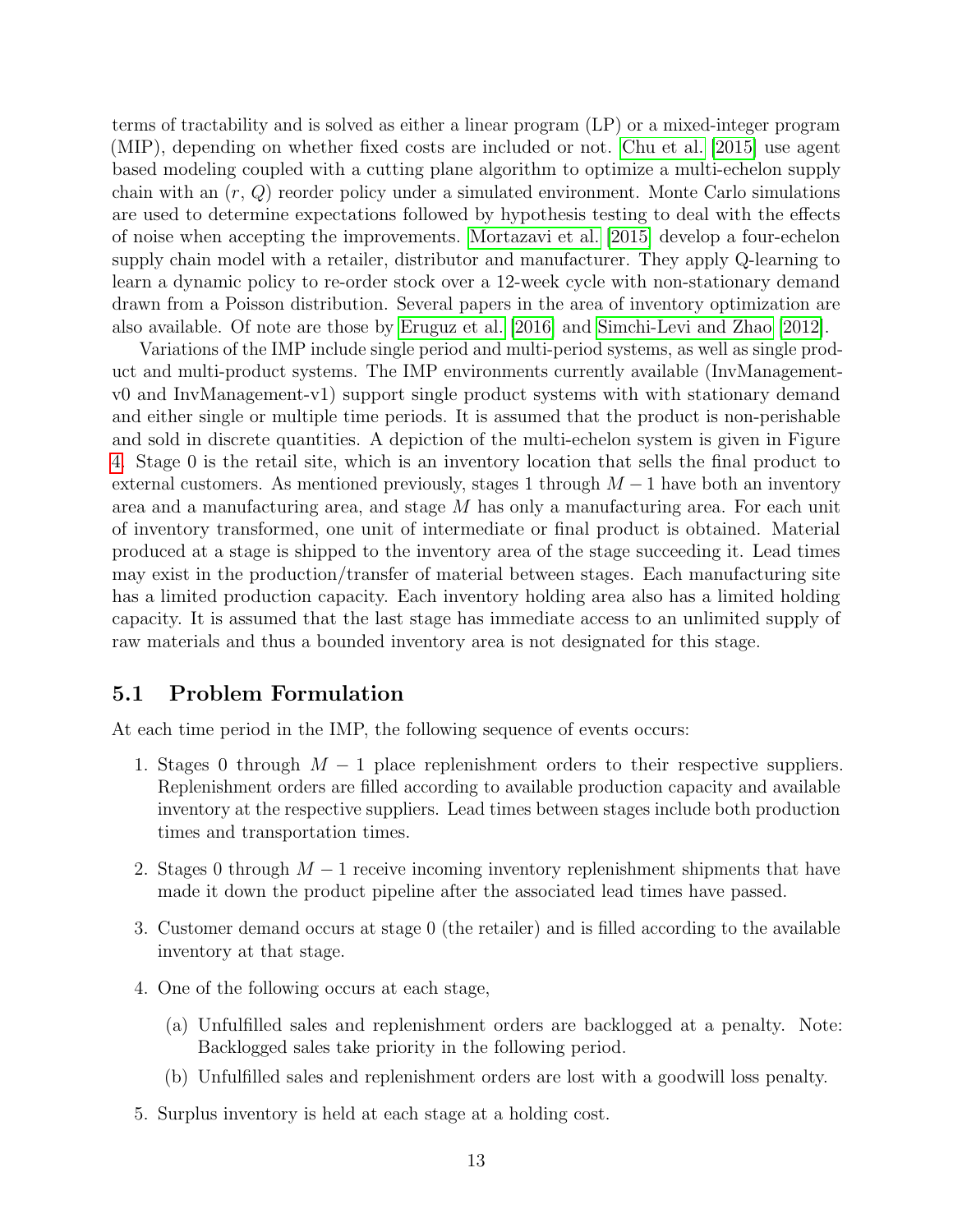terms of tractability and is solved as either a linear program (LP) or a mixed-integer program (MIP), depending on whether fixed costs are included or not. [Chu et al.](#page-23-8) [\[2015\]](#page-23-8) use agent based modeling coupled with a cutting plane algorithm to optimize a multi-echelon supply chain with an  $(r, Q)$  reorder policy under a simulated environment. Monte Carlo simulations are used to determine expectations followed by hypothesis testing to deal with the effects of noise when accepting the improvements. [Mortazavi et al.](#page-26-8) [\[2015\]](#page-26-8) develop a four-echelon supply chain model with a retailer, distributor and manufacturer. They apply Q-learning to learn a dynamic policy to re-order stock over a 12-week cycle with non-stationary demand drawn from a Poisson distribution. Several papers in the area of inventory optimization are also available. Of note are those by [Eruguz et al.](#page-24-9) [\[2016\]](#page-24-9) and [Simchi-Levi and Zhao](#page-27-2) [\[2012\]](#page-27-2).

Variations of the IMP include single period and multi-period systems, as well as single product and multi-product systems. The IMP environments currently available (InvManagementv0 and InvManagement-v1) support single product systems with with stationary demand and either single or multiple time periods. It is assumed that the product is non-perishable and sold in discrete quantities. A depiction of the multi-echelon system is given in Figure [4.](#page-11-0) Stage 0 is the retail site, which is an inventory location that sells the final product to external customers. As mentioned previously, stages 1 through  $M-1$  have both an inventory area and a manufacturing area, and stage  $M$  has only a manufacturing area. For each unit of inventory transformed, one unit of intermediate or final product is obtained. Material produced at a stage is shipped to the inventory area of the stage succeeding it. Lead times may exist in the production/transfer of material between stages. Each manufacturing site has a limited production capacity. Each inventory holding area also has a limited holding capacity. It is assumed that the last stage has immediate access to an unlimited supply of raw materials and thus a bounded inventory area is not designated for this stage.

### 5.1 Problem Formulation

At each time period in the IMP, the following sequence of events occurs:

- 1. Stages 0 through  $M-1$  place replenishment orders to their respective suppliers. Replenishment orders are filled according to available production capacity and available inventory at the respective suppliers. Lead times between stages include both production times and transportation times.
- 2. Stages 0 through  $M-1$  receive incoming inventory replenishment shipments that have made it down the product pipeline after the associated lead times have passed.
- 3. Customer demand occurs at stage 0 (the retailer) and is filled according to the available inventory at that stage.
- 4. One of the following occurs at each stage,
	- (a) Unfulfilled sales and replenishment orders are backlogged at a penalty. Note: Backlogged sales take priority in the following period.
	- (b) Unfulfilled sales and replenishment orders are lost with a goodwill loss penalty.
- 5. Surplus inventory is held at each stage at a holding cost.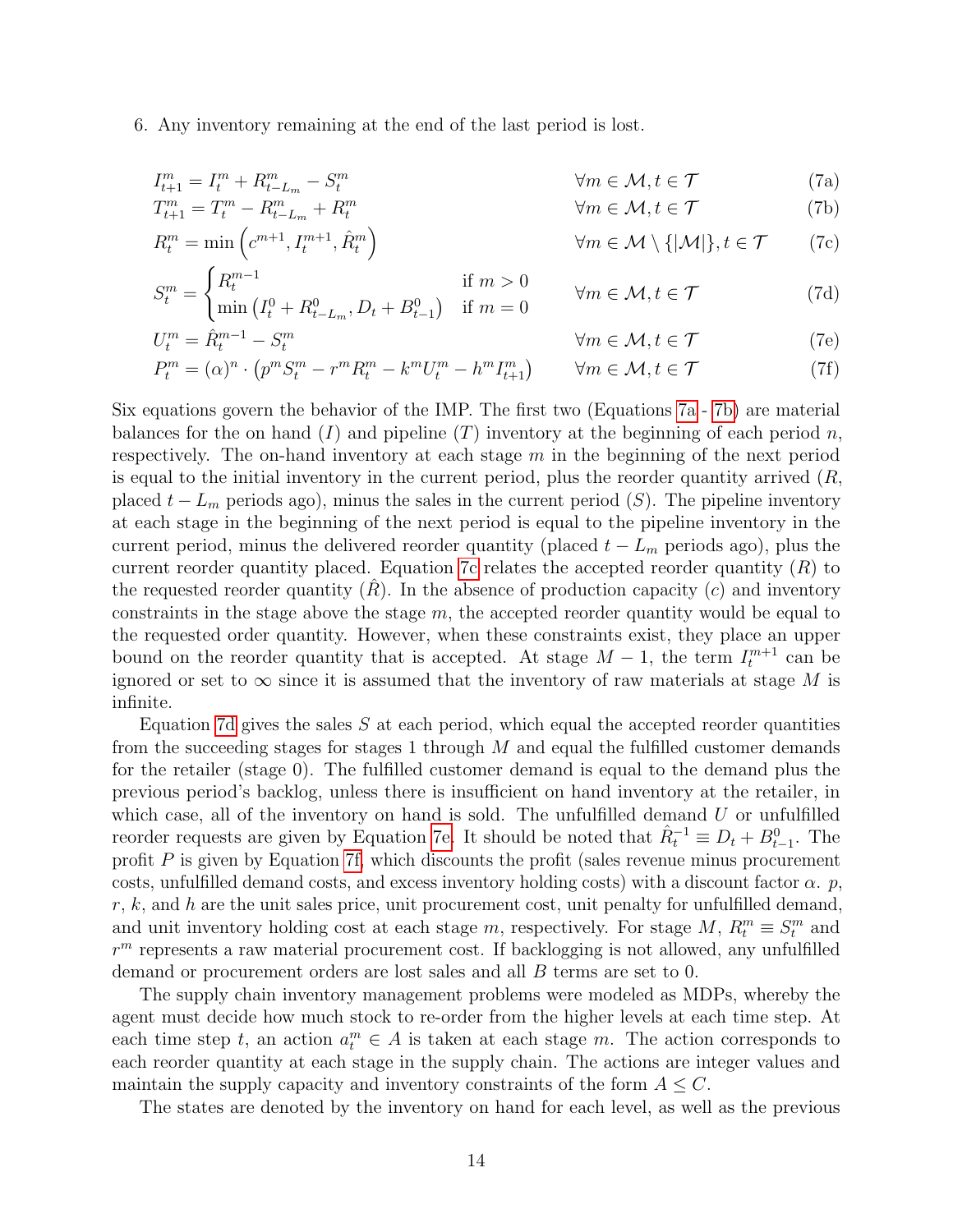6. Any inventory remaining at the end of the last period is lost.

<span id="page-13-1"></span><span id="page-13-0"></span>
$$
I_{t+1}^m = I_t^m + R_{t-L_m}^m - S_t^m \qquad \qquad \forall m \in \mathcal{M}, t \in \mathcal{T} \qquad (7a)
$$

$$
T_{t+1}^m = T_t^m - R_{t-L_m}^m + R_t^m \qquad \qquad \forall m \in \mathcal{M}, t \in \mathcal{T} \qquad (7b)
$$

<span id="page-13-2"></span>
$$
R_t^m = \min\left(c^{m+1}, I_t^{m+1}, \hat{R}_t^m\right) \qquad \qquad \forall m \in \mathcal{M} \setminus \{|\mathcal{M}|\}, t \in \mathcal{T} \qquad (7c)
$$

<span id="page-13-3"></span>
$$
S_t^m = \begin{cases} R_t^{m-1} & \text{if } m > 0\\ \min\left(I_t^0 + R_{t-L_m}^0, D_t + B_{t-1}^0\right) & \text{if } m = 0 \end{cases} \qquad \forall m \in \mathcal{M}, t \in \mathcal{T} \tag{7d}
$$

<span id="page-13-4"></span>
$$
U_t^m = \dot{R}_t^{m-1} - S_t^m \qquad \qquad \forall m \in \mathcal{M}, t \in \mathcal{T} \qquad (7e)
$$

<span id="page-13-5"></span>
$$
P_t^m = (\alpha)^n \cdot \left( p^m S_t^m - r^m R_t^m - k^m U_t^m - h^m I_{t+1}^m \right) \qquad \forall m \in \mathcal{M}, t \in \mathcal{T}
$$
 (7f)

Six equations govern the behavior of the IMP. The first two (Equations [7a](#page-13-0) - [7b\)](#page-13-1) are material balances for the on hand  $(I)$  and pipeline  $(T)$  inventory at the beginning of each period n, respectively. The on-hand inventory at each stage  $m$  in the beginning of the next period is equal to the initial inventory in the current period, plus the reorder quantity arrived  $(R,$ placed  $t - L_m$  periods ago), minus the sales in the current period (S). The pipeline inventory at each stage in the beginning of the next period is equal to the pipeline inventory in the current period, minus the delivered reorder quantity (placed  $t - L_m$  periods ago), plus the current reorder quantity placed. Equation [7c](#page-13-2) relates the accepted reorder quantity  $(R)$  to the requested reorder quantity  $(R)$ . In the absence of production capacity  $(c)$  and inventory constraints in the stage above the stage  $m$ , the accepted reorder quantity would be equal to the requested order quantity. However, when these constraints exist, they place an upper bound on the reorder quantity that is accepted. At stage  $M-1$ , the term  $I_t^{m+1}$  can be ignored or set to  $\infty$  since it is assumed that the inventory of raw materials at stage M is infinite.

Equation [7d](#page-13-3) gives the sales  $S$  at each period, which equal the accepted reorder quantities from the succeeding stages for stages 1 through  $M$  and equal the fulfilled customer demands for the retailer (stage 0). The fulfilled customer demand is equal to the demand plus the previous period's backlog, unless there is insufficient on hand inventory at the retailer, in which case, all of the inventory on hand is sold. The unfulfilled demand  $U$  or unfulfilled reorder requests are given by Equation [7e.](#page-13-4) It should be noted that  $\hat{R}_t^{-1} \equiv D_t + B_{t-1}^0$ . The profit  $P$  is given by Equation [7f,](#page-13-5) which discounts the profit (sales revenue minus procurement costs, unfulfilled demand costs, and excess inventory holding costs) with a discount factor  $\alpha$ . p.  $r, k$ , and h are the unit sales price, unit procurement cost, unit penalty for unfulfilled demand, and unit inventory holding cost at each stage m, respectively. For stage M,  $R_t^m \equiv S_t^m$  and  $r<sup>m</sup>$  represents a raw material procurement cost. If backlogging is not allowed, any unfulfilled demand or procurement orders are lost sales and all B terms are set to 0.

The supply chain inventory management problems were modeled as MDPs, whereby the agent must decide how much stock to re-order from the higher levels at each time step. At each time step t, an action  $a_t^m \in A$  is taken at each stage m. The action corresponds to each reorder quantity at each stage in the supply chain. The actions are integer values and maintain the supply capacity and inventory constraints of the form  $A \leq C$ .

The states are denoted by the inventory on hand for each level, as well as the previous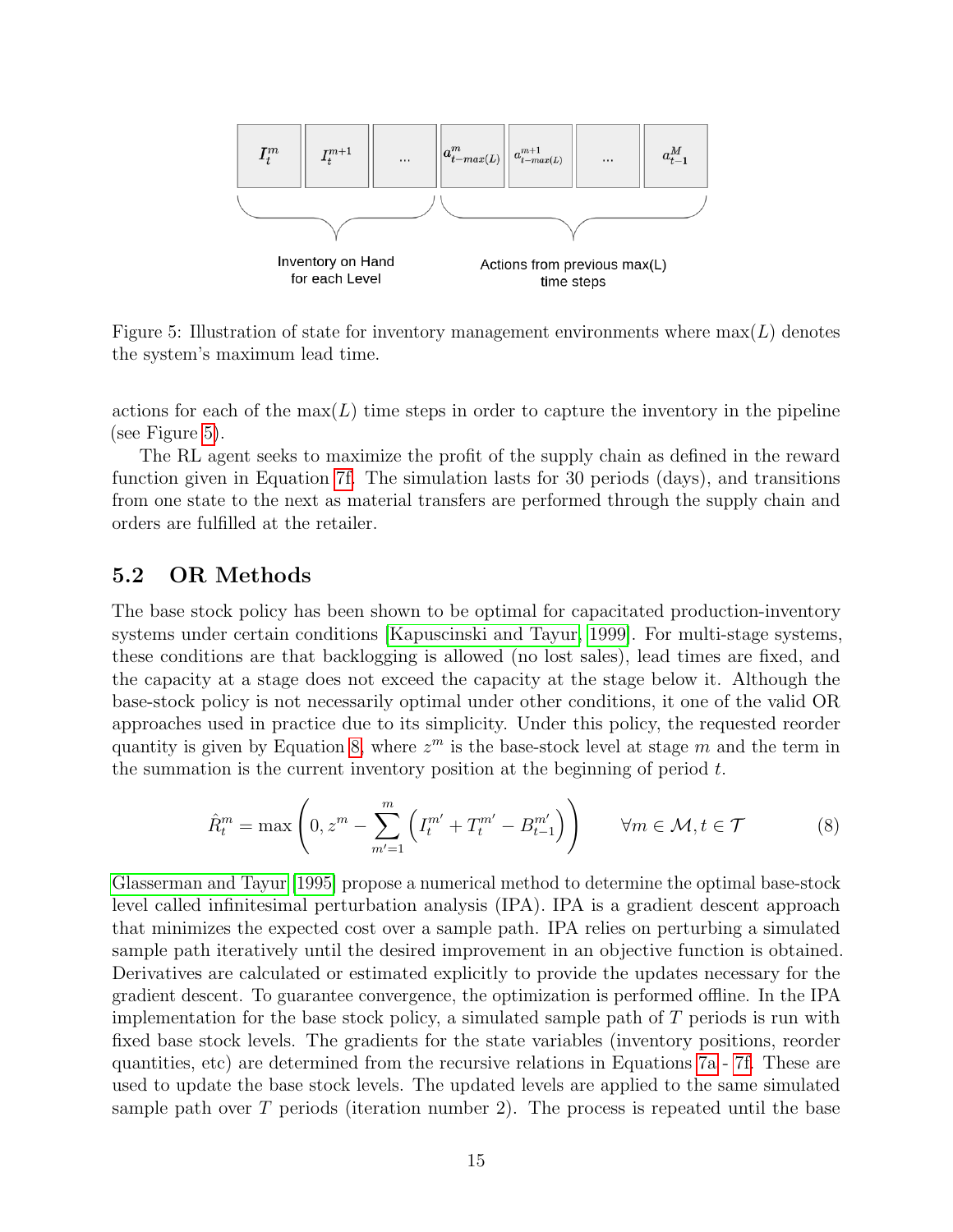<span id="page-14-0"></span>

Figure 5: Illustration of state for inventory management environments where  $max(L)$  denotes the system's maximum lead time.

actions for each of the  $\max(L)$  time steps in order to capture the inventory in the pipeline (see Figure [5\)](#page-14-0).

The RL agent seeks to maximize the profit of the supply chain as defined in the reward function given in Equation [7f.](#page-13-5) The simulation lasts for 30 periods (days), and transitions from one state to the next as material transfers are performed through the supply chain and orders are fulfilled at the retailer.

## 5.2 OR Methods

The base stock policy has been shown to be optimal for capacitated production-inventory systems under certain conditions [\[Kapuscinski and Tayur, 1999\]](#page-25-11). For multi-stage systems, these conditions are that backlogging is allowed (no lost sales), lead times are fixed, and the capacity at a stage does not exceed the capacity at the stage below it. Although the base-stock policy is not necessarily optimal under other conditions, it one of the valid OR approaches used in practice due to its simplicity. Under this policy, the requested reorder quantity is given by Equation [8,](#page-14-1) where  $z^m$  is the base-stock level at stage m and the term in the summation is the current inventory position at the beginning of period  $t$ .

<span id="page-14-1"></span>
$$
\hat{R}_t^m = \max\left(0, z^m - \sum_{m'=1}^m \left(I_t^{m'} + T_t^{m'} - B_{t-1}^{m'}\right)\right) \qquad \forall m \in \mathcal{M}, t \in \mathcal{T}
$$
 (8)

[Glasserman and Tayur](#page-24-8) [\[1995\]](#page-24-8) propose a numerical method to determine the optimal base-stock level called infinitesimal perturbation analysis (IPA). IPA is a gradient descent approach that minimizes the expected cost over a sample path. IPA relies on perturbing a simulated sample path iteratively until the desired improvement in an objective function is obtained. Derivatives are calculated or estimated explicitly to provide the updates necessary for the gradient descent. To guarantee convergence, the optimization is performed offline. In the IPA implementation for the base stock policy, a simulated sample path of T periods is run with fixed base stock levels. The gradients for the state variables (inventory positions, reorder quantities, etc) are determined from the recursive relations in Equations [7a](#page-13-0) - [7f.](#page-13-5) These are used to update the base stock levels. The updated levels are applied to the same simulated sample path over  $T$  periods (iteration number 2). The process is repeated until the base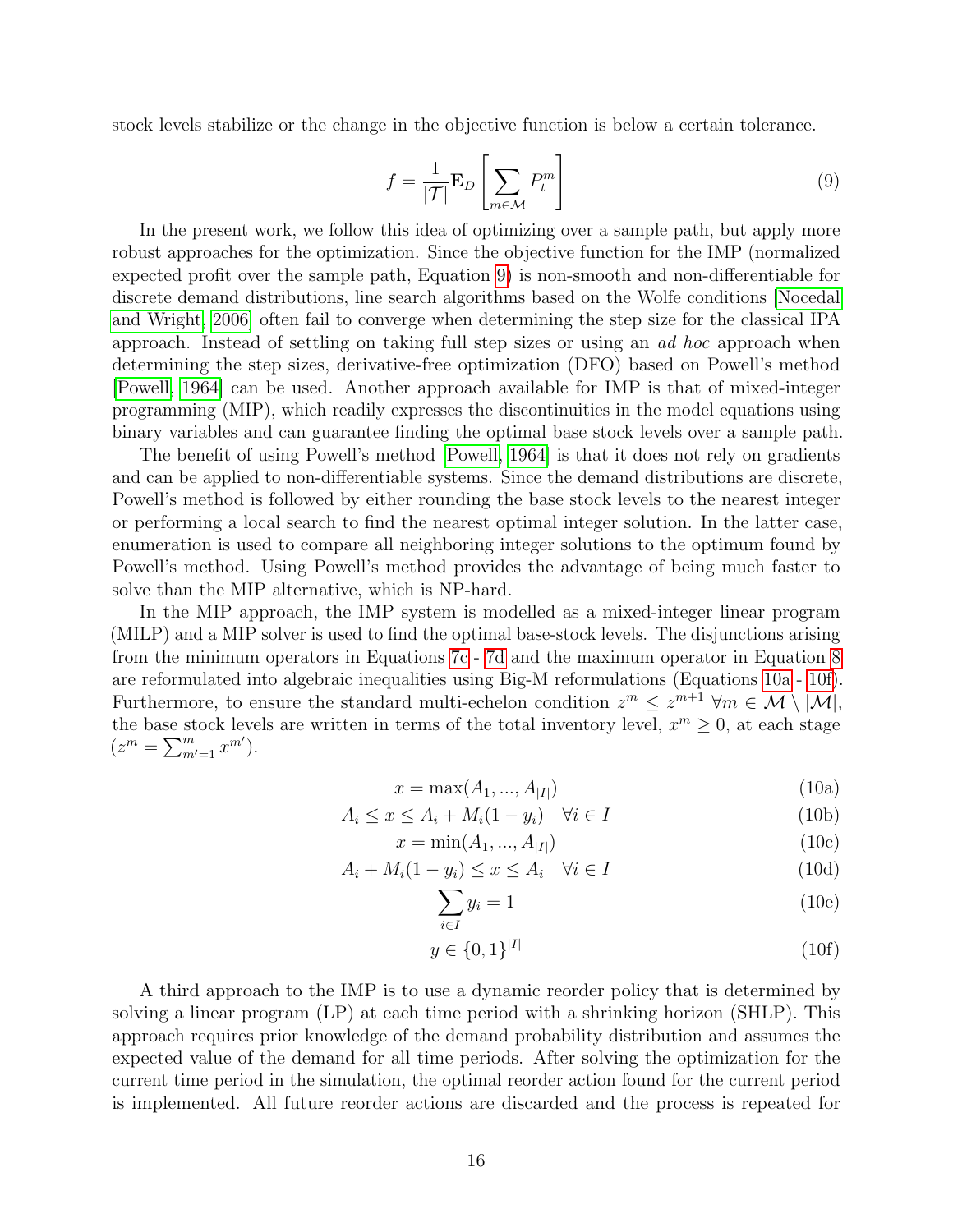<span id="page-15-0"></span>stock levels stabilize or the change in the objective function is below a certain tolerance.

$$
f = \frac{1}{|\mathcal{T}|} \mathbf{E}_D \left[ \sum_{m \in \mathcal{M}} P_t^m \right]
$$
 (9)

In the present work, we follow this idea of optimizing over a sample path, but apply more robust approaches for the optimization. Since the objective function for the IMP (normalized expected profit over the sample path, Equation [9\)](#page-15-0) is non-smooth and non-differentiable for discrete demand distributions, line search algorithms based on the Wolfe conditions [\[Nocedal](#page-26-9) [and Wright, 2006\]](#page-26-9) often fail to converge when determining the step size for the classical IPA approach. Instead of settling on taking full step sizes or using an ad hoc approach when determining the step sizes, derivative-free optimization (DFO) based on Powell's method [\[Powell, 1964\]](#page-26-10) can be used. Another approach available for IMP is that of mixed-integer programming (MIP), which readily expresses the discontinuities in the model equations using binary variables and can guarantee finding the optimal base stock levels over a sample path.

The benefit of using Powell's method [\[Powell, 1964\]](#page-26-10) is that it does not rely on gradients and can be applied to non-differentiable systems. Since the demand distributions are discrete, Powell's method is followed by either rounding the base stock levels to the nearest integer or performing a local search to find the nearest optimal integer solution. In the latter case, enumeration is used to compare all neighboring integer solutions to the optimum found by Powell's method. Using Powell's method provides the advantage of being much faster to solve than the MIP alternative, which is NP-hard.

In the MIP approach, the IMP system is modelled as a mixed-integer linear program (MILP) and a MIP solver is used to find the optimal base-stock levels. The disjunctions arising from the minimum operators in Equations [7c](#page-13-2) - [7d](#page-13-3) and the maximum operator in Equation [8](#page-14-1) are reformulated into algebraic inequalities using Big-M reformulations (Equations [10a](#page-13-0) - [10f\)](#page-13-5). Furthermore, to ensure the standard multi-echelon condition  $z^m \leq z^{m+1}$   $\forall m \in \mathcal{M} \setminus |\mathcal{M}|$ , the base stock levels are written in terms of the total inventory level,  $x^m \geq 0$ , at each stage  $(z^m = \sum_{m'=1}^m x^{m'}).$ 

$$
x = \max(A_1, ..., A_{|I|})
$$
\n(10a)

$$
A_i \le x \le A_i + M_i(1 - y_i) \quad \forall i \in I
$$
\n
$$
(10b)
$$

$$
x = \min(A_1, ..., A_{|I|})
$$
\n(10c)

$$
A_i + M_i(1 - y_i) \le x \le A_i \quad \forall i \in I
$$
\n(10d)

$$
\sum_{i \in I} y_i = 1 \tag{10e}
$$

$$
y \in \{0, 1\}^{|I|} \tag{10f}
$$

A third approach to the IMP is to use a dynamic reorder policy that is determined by solving a linear program (LP) at each time period with a shrinking horizon (SHLP). This approach requires prior knowledge of the demand probability distribution and assumes the expected value of the demand for all time periods. After solving the optimization for the current time period in the simulation, the optimal reorder action found for the current period is implemented. All future reorder actions are discarded and the process is repeated for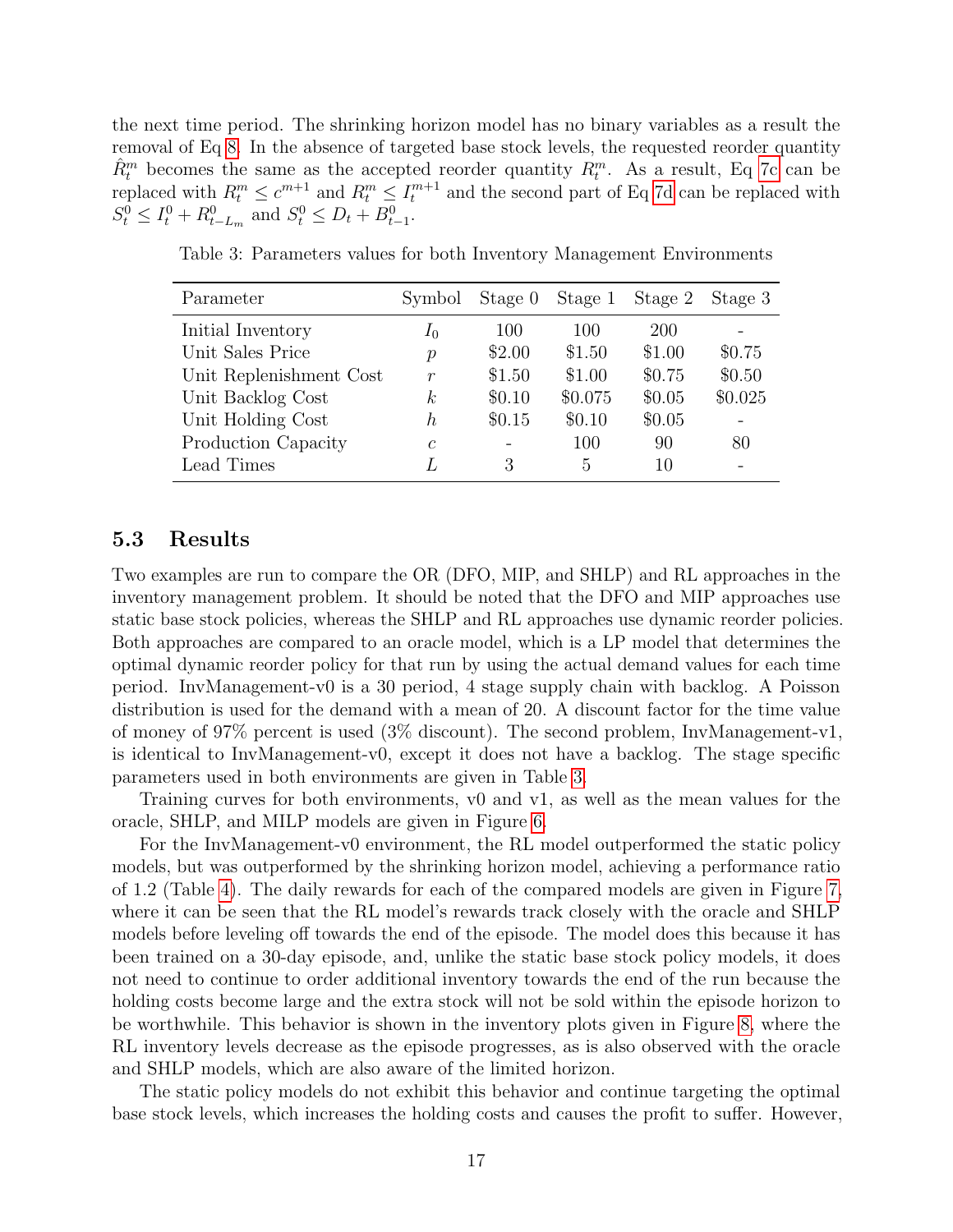the next time period. The shrinking horizon model has no binary variables as a result the removal of Eq [8.](#page-14-1) In the absence of targeted base stock levels, the requested reorder quantity  $\hat{R}^m_t$  becomes the same as the accepted reorder quantity  $R^m_t$ . As a result, Eq [7c](#page-13-2) can be replaced with  $R_t^m \leq c^{m+1}$  and  $R_t^m \leq I_t^{m+1}$  and the second part of Eq [7d](#page-13-3) can be replaced with  $S_t^0 \leq I_t^0 + R_{t-L_m}^0$  and  $S_t^0 \leq D_t + B_{t-1}^0$ .

| Parameter               | Symbol           |                          | Stage 0 Stage 1 | Stage 2 Stage 3 |         |
|-------------------------|------------------|--------------------------|-----------------|-----------------|---------|
| Initial Inventory       | $I_0$            | 100                      | 100             | <b>200</b>      |         |
| Unit Sales Price        | $\mathcal{p}$    | \$2.00                   | \$1.50          | \$1.00          | \$0.75  |
| Unit Replenishment Cost | $\,r$            | \$1.50                   | \$1.00          | \$0.75          | \$0.50  |
| Unit Backlog Cost       | $\boldsymbol{k}$ | \$0.10                   | \$0.075         | \$0.05          | \$0.025 |
| Unit Holding Cost       | h,               | \$0.15                   | \$0.10          | \$0.05          |         |
| Production Capacity     | $\mathcal{C}$    | $\overline{\phantom{0}}$ | 100             | 90              | 80      |
| Lead Times              |                  | 3                        | 5               | 10              |         |

<span id="page-16-0"></span>Table 3: Parameters values for both Inventory Management Environments

### 5.3 Results

Two examples are run to compare the OR (DFO, MIP, and SHLP) and RL approaches in the inventory management problem. It should be noted that the DFO and MIP approaches use static base stock policies, whereas the SHLP and RL approaches use dynamic reorder policies. Both approaches are compared to an oracle model, which is a LP model that determines the optimal dynamic reorder policy for that run by using the actual demand values for each time period. InvManagement-v0 is a 30 period, 4 stage supply chain with backlog. A Poisson distribution is used for the demand with a mean of 20. A discount factor for the time value of money of 97% percent is used (3% discount). The second problem, InvManagement-v1, is identical to InvManagement-v0, except it does not have a backlog. The stage specific parameters used in both environments are given in Table [3.](#page-16-0)

Training curves for both environments, v0 and v1, as well as the mean values for the oracle, SHLP, and MILP models are given in Figure [6.](#page-17-0)

For the InvManagement-v0 environment, the RL model outperformed the static policy models, but was outperformed by the shrinking horizon model, achieving a performance ratio of 1.2 (Table [4\)](#page-17-1). The daily rewards for each of the compared models are given in Figure [7,](#page-18-0) where it can be seen that the RL model's rewards track closely with the oracle and SHLP models before leveling off towards the end of the episode. The model does this because it has been trained on a 30-day episode, and, unlike the static base stock policy models, it does not need to continue to order additional inventory towards the end of the run because the holding costs become large and the extra stock will not be sold within the episode horizon to be worthwhile. This behavior is shown in the inventory plots given in Figure [8,](#page-18-1) where the RL inventory levels decrease as the episode progresses, as is also observed with the oracle and SHLP models, which are also aware of the limited horizon.

The static policy models do not exhibit this behavior and continue targeting the optimal base stock levels, which increases the holding costs and causes the profit to suffer. However,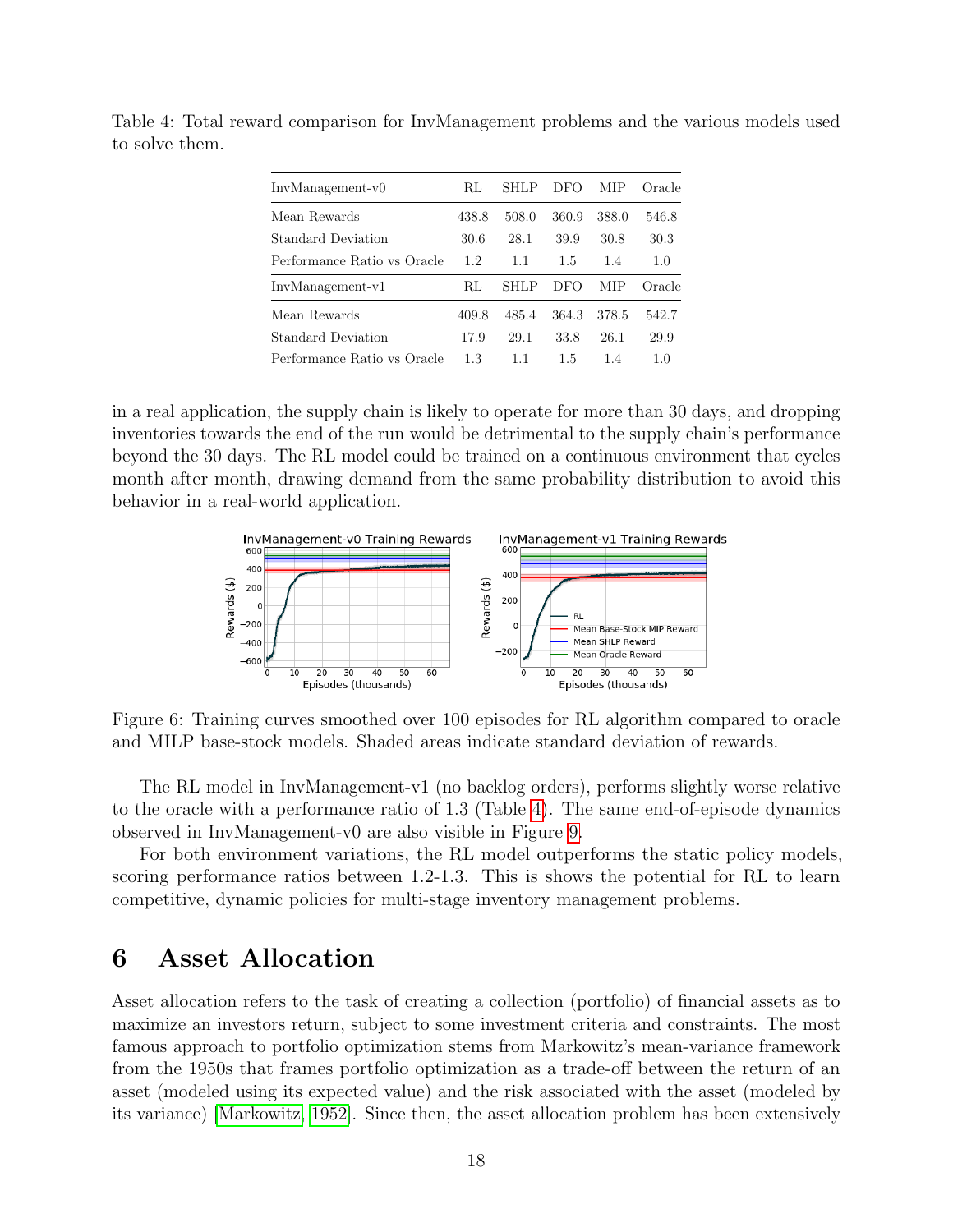| $InvManagement-v0$          | RL    | <b>SHLP</b> | DFO   | MIP   | Oracle |
|-----------------------------|-------|-------------|-------|-------|--------|
| Mean Rewards                | 438.8 | 508.0       | 360.9 | 388.0 | 546.8  |
| Standard Deviation          | 30.6  | 28.1        | 39.9  | 30.8  | 30.3   |
| Performance Ratio vs Oracle | 1.2   | 1.1         | 1.5   | 1.4   | 1.0    |
| $InvManagement-v1$          | RL    | SHLP        | DFO   | MIP   | Oracle |
| Mean Rewards                | 409.8 | 485.4       | 364.3 | 378.5 | 542.7  |
| Standard Deviation          | 17.9  | 29.1        | 33.8  | 26.1  | 29.9   |
| Performance Ratio vs Oracle | 1.3   | 11          | 1.5   | 14    | 1.0    |

<span id="page-17-1"></span>Table 4: Total reward comparison for InvManagement problems and the various models used to solve them.

in a real application, the supply chain is likely to operate for more than 30 days, and dropping inventories towards the end of the run would be detrimental to the supply chain's performance beyond the 30 days. The RL model could be trained on a continuous environment that cycles month after month, drawing demand from the same probability distribution to avoid this behavior in a real-world application.

<span id="page-17-0"></span>

Figure 6: Training curves smoothed over 100 episodes for RL algorithm compared to oracle and MILP base-stock models. Shaded areas indicate standard deviation of rewards.

The RL model in InvManagement-v1 (no backlog orders), performs slightly worse relative to the oracle with a performance ratio of 1.3 (Table [4\)](#page-17-1). The same end-of-episode dynamics observed in InvManagement-v0 are also visible in Figure [9.](#page-18-2)

For both environment variations, the RL model outperforms the static policy models, scoring performance ratios between 1.2-1.3. This is shows the potential for RL to learn competitive, dynamic policies for multi-stage inventory management problems.

# 6 Asset Allocation

Asset allocation refers to the task of creating a collection (portfolio) of financial assets as to maximize an investors return, subject to some investment criteria and constraints. The most famous approach to portfolio optimization stems from Markowitz's mean-variance framework from the 1950s that frames portfolio optimization as a trade-off between the return of an asset (modeled using its expected value) and the risk associated with the asset (modeled by its variance) [\[Markowitz, 1952\]](#page-26-11). Since then, the asset allocation problem has been extensively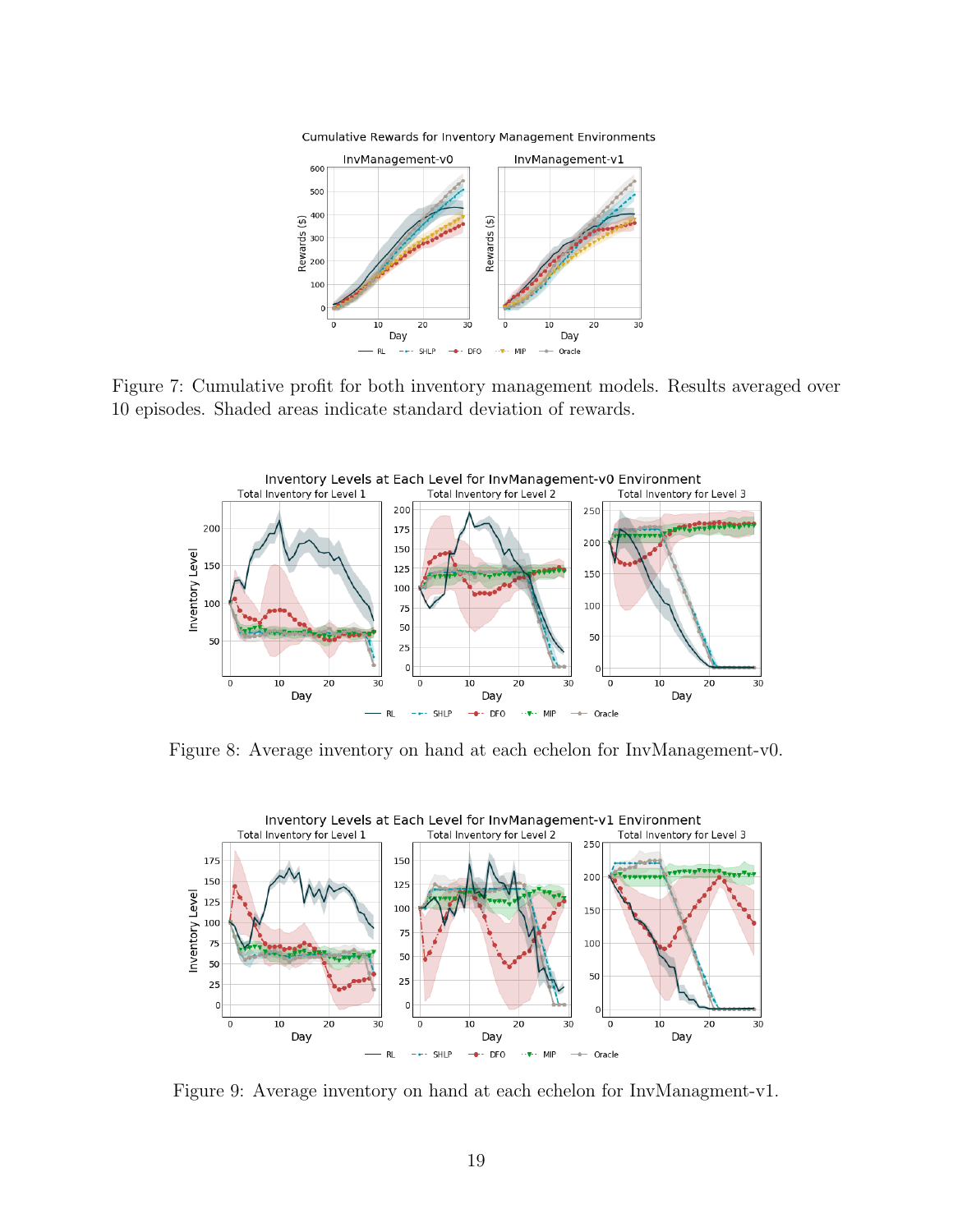<span id="page-18-0"></span>

Cumulative Rewards for Inventory Management Environments

Figure 7: Cumulative profit for both inventory management models. Results averaged over 10 episodes. Shaded areas indicate standard deviation of rewards.

<span id="page-18-1"></span>

Figure 8: Average inventory on hand at each echelon for InvManagement-v0.

<span id="page-18-2"></span>

Figure 9: Average inventory on hand at each echelon for InvManagment-v1.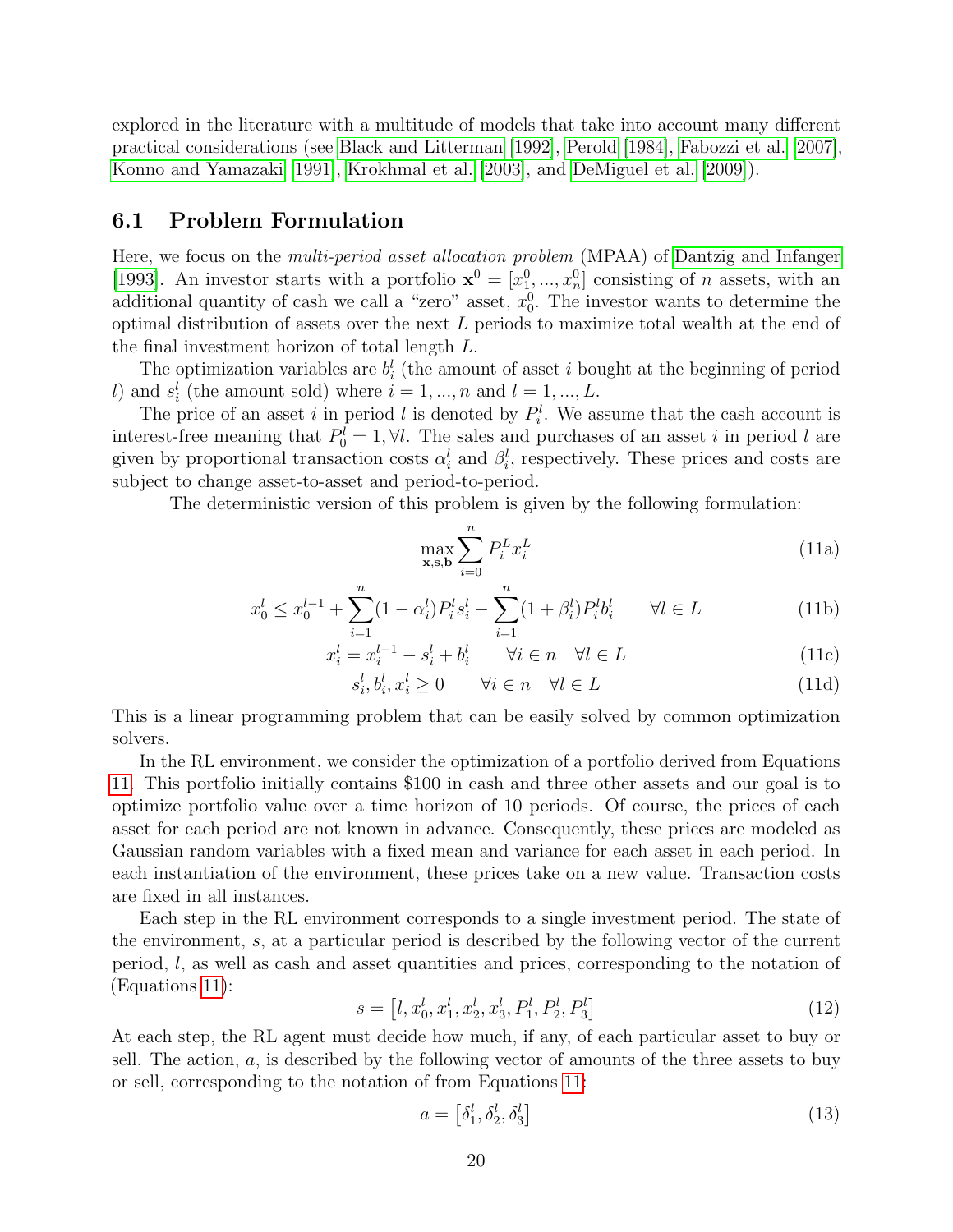explored in the literature with a multitude of models that take into account many different practical considerations (see [Black and Litterman](#page-23-9) [\[1992\]](#page-23-9), [Perold](#page-26-12) [\[1984\]](#page-26-12), [Fabozzi et al.](#page-24-10) [\[2007\]](#page-24-10), [Konno and Yamazaki](#page-25-12) [\[1991\]](#page-25-12), [Krokhmal et al.](#page-25-13) [\[2003\]](#page-25-13), and [DeMiguel et al.](#page-24-11) [\[2009\]](#page-24-11)).

### 6.1 Problem Formulation

Here, we focus on the multi-period asset allocation problem (MPAA) of [Dantzig and Infanger](#page-24-12) [\[1993\]](#page-24-12). An investor starts with a portfolio  $\mathbf{x}^0 = [x_1^0, ..., x_n^0]$  consisting of *n* assets, with an additional quantity of cash we call a "zero" asset,  $x_0^0$ . The investor wants to determine the optimal distribution of assets over the next L periods to maximize total wealth at the end of the final investment horizon of total length L.

The optimization variables are  $b_i^l$  (the amount of asset i bought at the beginning of period l) and  $s_i^l$  (the amount sold) where  $i = 1, ..., n$  and  $l = 1, ..., L$ .

The price of an asset i in period l is denoted by  $P_i^l$ . We assume that the cash account is interest-free meaning that  $P_0^l = 1, \forall l$ . The sales and purchases of an asset i in period l are given by proportional transaction costs  $\alpha_i^l$  and  $\beta_i^l$ , respectively. These prices and costs are subject to change asset-to-asset and period-to-period.

The deterministic version of this problem is given by the following formulation:

<span id="page-19-1"></span><span id="page-19-0"></span>
$$
\max_{\mathbf{x}, \mathbf{s}, \mathbf{b}} \sum_{i=0}^{n} P_i^L x_i^L \tag{11a}
$$

$$
x_0^l \le x_0^{l-1} + \sum_{i=1}^n (1 - \alpha_i^l) P_i^l s_i^l - \sum_{i=1}^n (1 + \beta_i^l) P_i^l b_i^l \qquad \forall l \in L
$$
 (11b)

$$
x_i^l = x_i^{l-1} - s_i^l + b_i^l \qquad \forall i \in n \quad \forall l \in L
$$
 (11c)

$$
s_i^l, b_i^l, x_i^l \ge 0 \qquad \forall i \in n \quad \forall l \in L \tag{11d}
$$

This is a linear programming problem that can be easily solved by common optimization solvers.

In the RL environment, we consider the optimization of a portfolio derived from Equations [11.](#page-19-0) This portfolio initially contains \$100 in cash and three other assets and our goal is to optimize portfolio value over a time horizon of 10 periods. Of course, the prices of each asset for each period are not known in advance. Consequently, these prices are modeled as Gaussian random variables with a fixed mean and variance for each asset in each period. In each instantiation of the environment, these prices take on a new value. Transaction costs are fixed in all instances.

Each step in the RL environment corresponds to a single investment period. The state of the environment, s, at a particular period is described by the following vector of the current period, l, as well as cash and asset quantities and prices, corresponding to the notation of (Equations [11\)](#page-19-0):

$$
s = [l, x_0^l, x_1^l, x_2^l, x_3^l, P_1^l, P_2^l, P_3^l]
$$
\n
$$
(12)
$$

At each step, the RL agent must decide how much, if any, of each particular asset to buy or sell. The action,  $a$ , is described by the following vector of amounts of the three assets to buy or sell, corresponding to the notation of from Equations [11:](#page-19-0)

$$
a = \left[\delta_1^l, \delta_2^l, \delta_3^l\right] \tag{13}
$$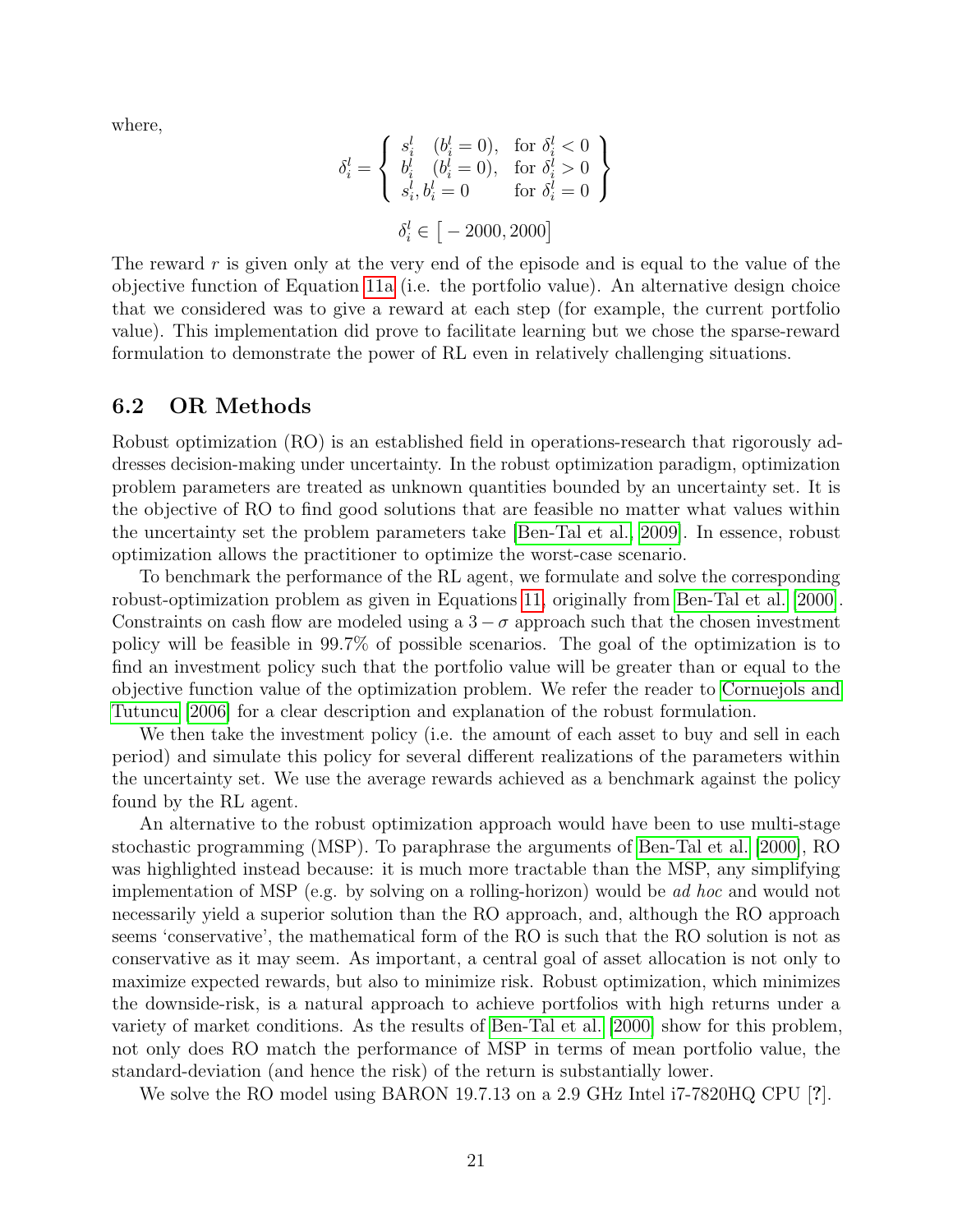where,

$$
\delta_i^l = \left\{ \begin{array}{ll} s_i^l & (b_i^l = 0), ~\text{ for } \delta_i^l < 0 \\ b_i^l & (b_i^l = 0), ~\text{ for } \delta_i^l > 0 \\ s_i^l, b_i^l = 0 ~\text{ for } \delta_i^l = 0 \end{array} \right\}
$$

$$
\delta_i^l \in [ -2000, 2000 ]
$$

The reward  $r$  is given only at the very end of the episode and is equal to the value of the objective function of Equation [11a](#page-19-1) (i.e. the portfolio value). An alternative design choice that we considered was to give a reward at each step (for example, the current portfolio value). This implementation did prove to facilitate learning but we chose the sparse-reward formulation to demonstrate the power of RL even in relatively challenging situations.

#### 6.2 OR Methods

Robust optimization (RO) is an established field in operations-research that rigorously addresses decision-making under uncertainty. In the robust optimization paradigm, optimization problem parameters are treated as unknown quantities bounded by an uncertainty set. It is the objective of RO to find good solutions that are feasible no matter what values within the uncertainty set the problem parameters take [\[Ben-Tal et al., 2009\]](#page-23-10). In essence, robust optimization allows the practitioner to optimize the worst-case scenario.

To benchmark the performance of the RL agent, we formulate and solve the corresponding robust-optimization problem as given in Equations [11,](#page-19-0) originally from [Ben-Tal et al.](#page-23-11) [\[2000\]](#page-23-11). Constraints on cash flow are modeled using a  $3 - \sigma$  approach such that the chosen investment policy will be feasible in 99.7% of possible scenarios. The goal of the optimization is to find an investment policy such that the portfolio value will be greater than or equal to the objective function value of the optimization problem. We refer the reader to [Cornuejols and](#page-24-13) [Tutuncu](#page-24-13) [\[2006\]](#page-24-13) for a clear description and explanation of the robust formulation.

We then take the investment policy (i.e. the amount of each asset to buy and sell in each period) and simulate this policy for several different realizations of the parameters within the uncertainty set. We use the average rewards achieved as a benchmark against the policy found by the RL agent.

An alternative to the robust optimization approach would have been to use multi-stage stochastic programming (MSP). To paraphrase the arguments of [Ben-Tal et al.](#page-23-11) [\[2000\]](#page-23-11), RO was highlighted instead because: it is much more tractable than the MSP, any simplifying implementation of MSP (e.g. by solving on a rolling-horizon) would be ad hoc and would not necessarily yield a superior solution than the RO approach, and, although the RO approach seems 'conservative', the mathematical form of the RO is such that the RO solution is not as conservative as it may seem. As important, a central goal of asset allocation is not only to maximize expected rewards, but also to minimize risk. Robust optimization, which minimizes the downside-risk, is a natural approach to achieve portfolios with high returns under a variety of market conditions. As the results of [Ben-Tal et al.](#page-23-11) [\[2000\]](#page-23-11) show for this problem, not only does RO match the performance of MSP in terms of mean portfolio value, the standard-deviation (and hence the risk) of the return is substantially lower.

We solve the RO model using BARON 19.7.13 on a 2.9 GHz Intel i7-7820HQ CPU [?].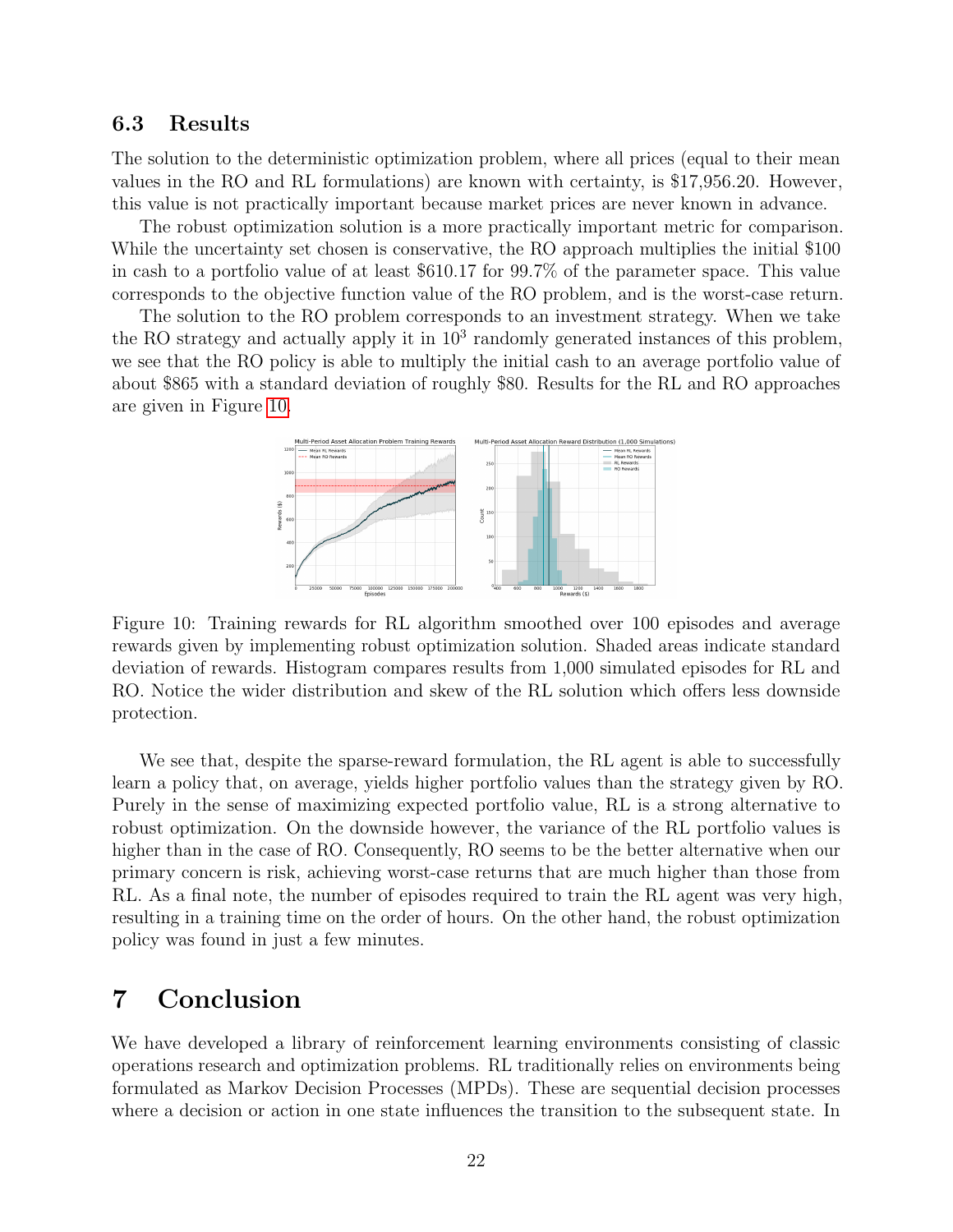#### 6.3 Results

The solution to the deterministic optimization problem, where all prices (equal to their mean values in the RO and RL formulations) are known with certainty, is \$17,956.20. However, this value is not practically important because market prices are never known in advance.

The robust optimization solution is a more practically important metric for comparison. While the uncertainty set chosen is conservative, the RO approach multiplies the initial \$100 in cash to a portfolio value of at least \$610.17 for 99.7% of the parameter space. This value corresponds to the objective function value of the RO problem, and is the worst-case return.

<span id="page-21-0"></span>The solution to the RO problem corresponds to an investment strategy. When we take the RO strategy and actually apply it in  $10^3$  randomly generated instances of this problem, we see that the RO policy is able to multiply the initial cash to an average portfolio value of about \$865 with a standard deviation of roughly \$80. Results for the RL and RO approaches are given in Figure [10.](#page-21-0)



Figure 10: Training rewards for RL algorithm smoothed over 100 episodes and average rewards given by implementing robust optimization solution. Shaded areas indicate standard deviation of rewards. Histogram compares results from 1,000 simulated episodes for RL and RO. Notice the wider distribution and skew of the RL solution which offers less downside protection.

We see that, despite the sparse-reward formulation, the RL agent is able to successfully learn a policy that, on average, yields higher portfolio values than the strategy given by RO. Purely in the sense of maximizing expected portfolio value, RL is a strong alternative to robust optimization. On the downside however, the variance of the RL portfolio values is higher than in the case of RO. Consequently, RO seems to be the better alternative when our primary concern is risk, achieving worst-case returns that are much higher than those from RL. As a final note, the number of episodes required to train the RL agent was very high, resulting in a training time on the order of hours. On the other hand, the robust optimization policy was found in just a few minutes.

# 7 Conclusion

We have developed a library of reinforcement learning environments consisting of classic operations research and optimization problems. RL traditionally relies on environments being formulated as Markov Decision Processes (MPDs). These are sequential decision processes where a decision or action in one state influences the transition to the subsequent state. In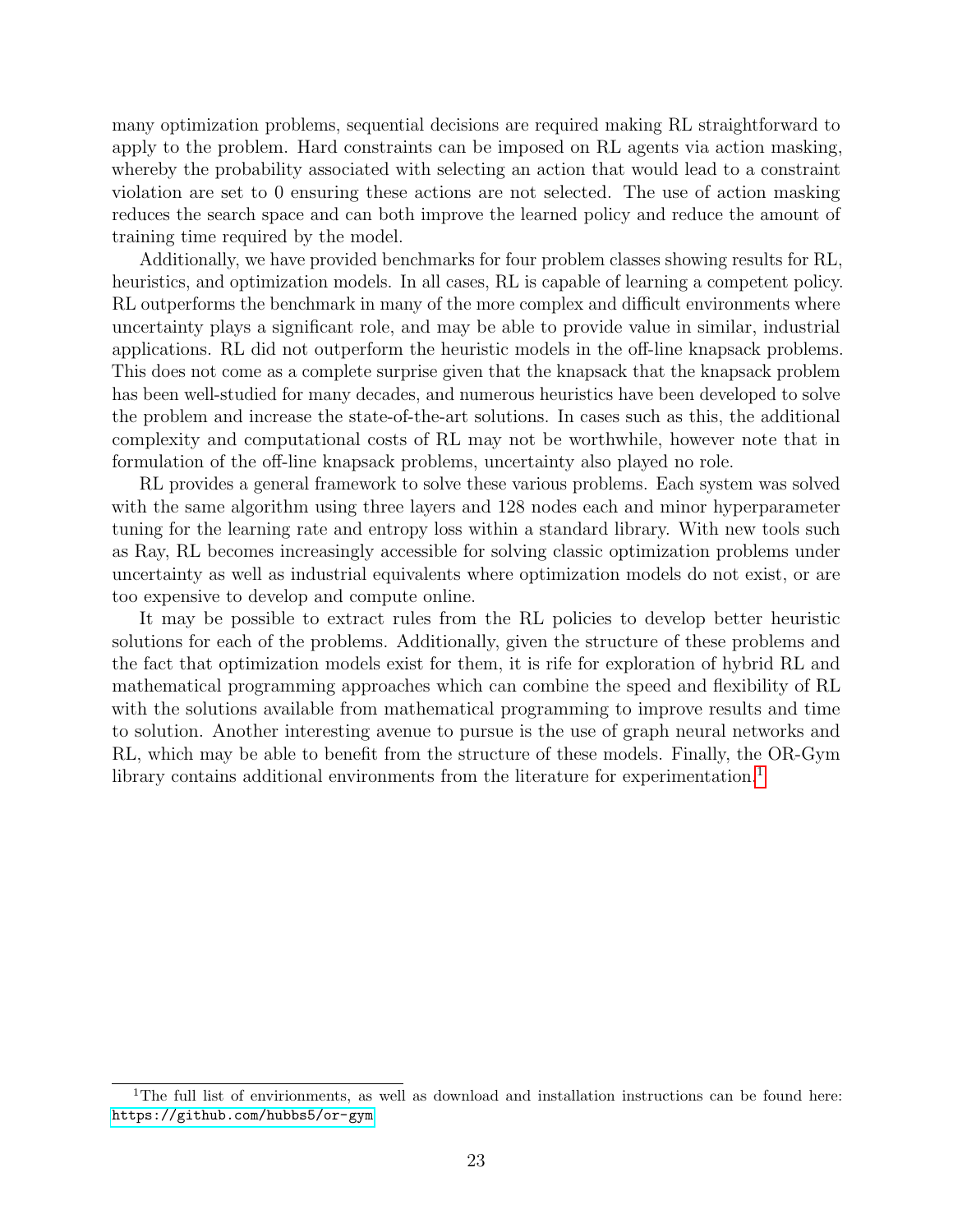many optimization problems, sequential decisions are required making RL straightforward to apply to the problem. Hard constraints can be imposed on RL agents via action masking, whereby the probability associated with selecting an action that would lead to a constraint violation are set to 0 ensuring these actions are not selected. The use of action masking reduces the search space and can both improve the learned policy and reduce the amount of training time required by the model.

Additionally, we have provided benchmarks for four problem classes showing results for RL, heuristics, and optimization models. In all cases, RL is capable of learning a competent policy. RL outperforms the benchmark in many of the more complex and difficult environments where uncertainty plays a significant role, and may be able to provide value in similar, industrial applications. RL did not outperform the heuristic models in the off-line knapsack problems. This does not come as a complete surprise given that the knapsack that the knapsack problem has been well-studied for many decades, and numerous heuristics have been developed to solve the problem and increase the state-of-the-art solutions. In cases such as this, the additional complexity and computational costs of RL may not be worthwhile, however note that in formulation of the off-line knapsack problems, uncertainty also played no role.

RL provides a general framework to solve these various problems. Each system was solved with the same algorithm using three layers and 128 nodes each and minor hyperparameter tuning for the learning rate and entropy loss within a standard library. With new tools such as Ray, RL becomes increasingly accessible for solving classic optimization problems under uncertainty as well as industrial equivalents where optimization models do not exist, or are too expensive to develop and compute online.

It may be possible to extract rules from the RL policies to develop better heuristic solutions for each of the problems. Additionally, given the structure of these problems and the fact that optimization models exist for them, it is rife for exploration of hybrid RL and mathematical programming approaches which can combine the speed and flexibility of RL with the solutions available from mathematical programming to improve results and time to solution. Another interesting avenue to pursue is the use of graph neural networks and RL, which may be able to benefit from the structure of these models. Finally, the OR-Gym library contains additional environments from the literature for experimentation.<sup>[1](#page-22-0)</sup>

<span id="page-22-0"></span><sup>&</sup>lt;sup>1</sup>The full list of envirionments, as well as download and installation instructions can be found here: <https://github.com/hubbs5/or-gym>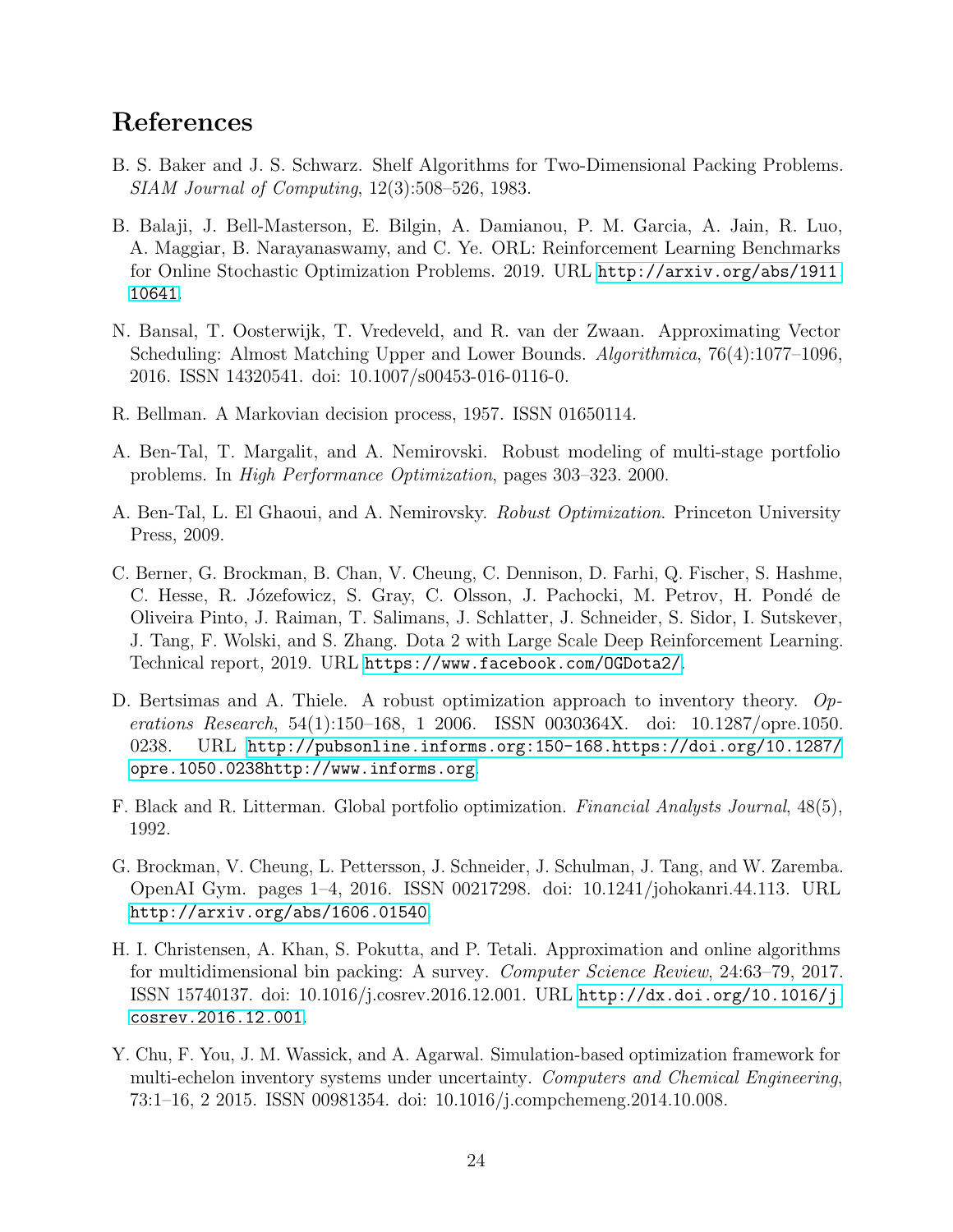# References

- <span id="page-23-6"></span>B. S. Baker and J. S. Schwarz. Shelf Algorithms for Two-Dimensional Packing Problems. SIAM Journal of Computing, 12(3):508–526, 1983.
- <span id="page-23-1"></span>B. Balaji, J. Bell-Masterson, E. Bilgin, A. Damianou, P. M. Garcia, A. Jain, R. Luo, A. Maggiar, B. Narayanaswamy, and C. Ye. ORL: Reinforcement Learning Benchmarks for Online Stochastic Optimization Problems. 2019. URL [http://arxiv.org/abs/1911.](http://arxiv.org/abs/1911.10641) [10641](http://arxiv.org/abs/1911.10641).
- <span id="page-23-5"></span>N. Bansal, T. Oosterwijk, T. Vredeveld, and R. van der Zwaan. Approximating Vector Scheduling: Almost Matching Upper and Lower Bounds. Algorithmica, 76(4):1077–1096, 2016. ISSN 14320541. doi: 10.1007/s00453-016-0116-0.
- <span id="page-23-3"></span>R. Bellman. A Markovian decision process, 1957. ISSN 01650114.
- <span id="page-23-11"></span>A. Ben-Tal, T. Margalit, and A. Nemirovski. Robust modeling of multi-stage portfolio problems. In High Performance Optimization, pages 303–323. 2000.
- <span id="page-23-10"></span>A. Ben-Tal, L. El Ghaoui, and A. Nemirovsky. Robust Optimization. Princeton University Press, 2009.
- <span id="page-23-0"></span>C. Berner, G. Brockman, B. Chan, V. Cheung, C. Dennison, D. Farhi, Q. Fischer, S. Hashme, C. Hesse, R. Józefowicz, S. Gray, C. Olsson, J. Pachocki, M. Petrov, H. Pondé de Oliveira Pinto, J. Raiman, T. Salimans, J. Schlatter, J. Schneider, S. Sidor, I. Sutskever, J. Tang, F. Wolski, and S. Zhang. Dota 2 with Large Scale Deep Reinforcement Learning. Technical report, 2019. URL <https://www.facebook.com/OGDota2/>.
- <span id="page-23-7"></span>D. Bertsimas and A. Thiele. A robust optimization approach to inventory theory. Operations Research, 54(1):150–168, 1 2006. ISSN 0030364X. doi: 10.1287/opre.1050. 0238. URL [http://pubsonline.informs.org:150-168.https://doi.org/10.1287/](http://pubsonline.informs.org:150-168.https://doi.org/10.1287/opre.1050.0238http://www.informs.org) [opre.1050.0238http://www.informs.org](http://pubsonline.informs.org:150-168.https://doi.org/10.1287/opre.1050.0238http://www.informs.org).
- <span id="page-23-9"></span>F. Black and R. Litterman. Global portfolio optimization. Financial Analysts Journal, 48(5), 1992.
- <span id="page-23-2"></span>G. Brockman, V. Cheung, L. Pettersson, J. Schneider, J. Schulman, J. Tang, and W. Zaremba. OpenAI Gym. pages 1–4, 2016. ISSN 00217298. doi: 10.1241/johokanri.44.113. URL <http://arxiv.org/abs/1606.01540>.
- <span id="page-23-4"></span>H. I. Christensen, A. Khan, S. Pokutta, and P. Tetali. Approximation and online algorithms for multidimensional bin packing: A survey. Computer Science Review, 24:63–79, 2017. ISSN 15740137. doi: 10.1016/j.cosrev.2016.12.001. URL [http://dx.doi.org/10.1016/j.](http://dx.doi.org/10.1016/j.cosrev.2016.12.001) [cosrev.2016.12.001](http://dx.doi.org/10.1016/j.cosrev.2016.12.001).
- <span id="page-23-8"></span>Y. Chu, F. You, J. M. Wassick, and A. Agarwal. Simulation-based optimization framework for multi-echelon inventory systems under uncertainty. Computers and Chemical Engineering, 73:1–16, 2 2015. ISSN 00981354. doi: 10.1016/j.compchemeng.2014.10.008.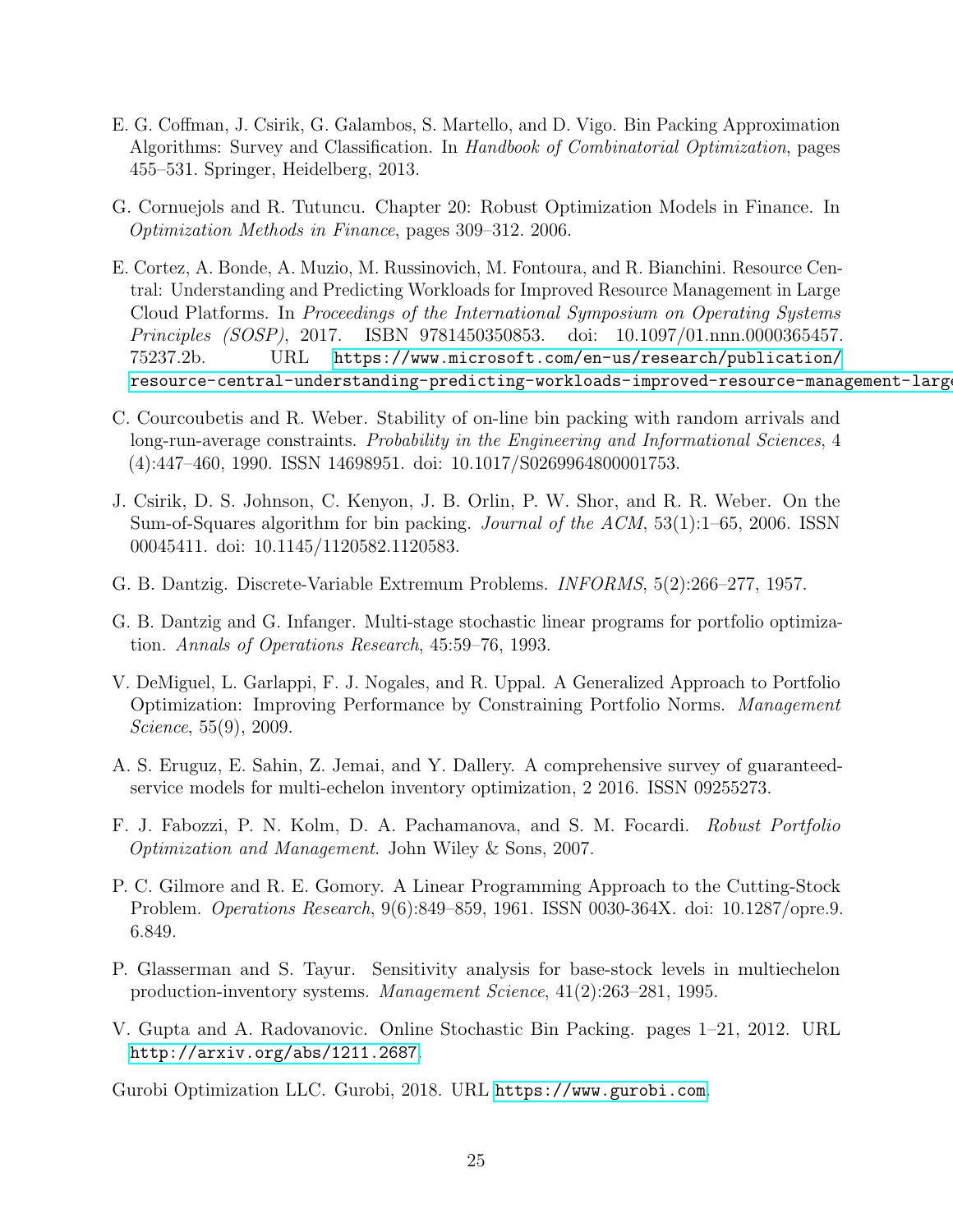- <span id="page-24-2"></span>E. G. Coffman, J. Csirik, G. Galambos, S. Martello, and D. Vigo. Bin Packing Approximation Algorithms: Survey and Classification. In Handbook of Combinatorial Optimization, pages 455–531. Springer, Heidelberg, 2013.
- <span id="page-24-13"></span>G. Cornuejols and R. Tutuncu. Chapter 20: Robust Optimization Models in Finance. In Optimization Methods in Finance, pages 309–312. 2006.
- <span id="page-24-6"></span>E. Cortez, A. Bonde, A. Muzio, M. Russinovich, M. Fontoura, and R. Bianchini. Resource Central: Understanding and Predicting Workloads for Improved Resource Management in Large Cloud Platforms. In Proceedings of the International Symposium on Operating Systems Principles (SOSP), 2017. ISBN 9781450350853. doi: 10.1097/01.nnn.0000365457. 75237.2b. URL [https://www.microsoft.com/en-us/research/publication/](https://www.microsoft.com/en-us/research/publication/resource-central-understanding-predicting-workloads-improved-resource-management-large-cloud-platforms/) resource-central-understanding-predicting-workloads-improved-resource-management-large
- <span id="page-24-3"></span>C. Courcoubetis and R. Weber. Stability of on-line bin packing with random arrivals and long-run-average constraints. Probability in the Engineering and Informational Sciences, 4 (4):447–460, 1990. ISSN 14698951. doi: 10.1017/S0269964800001753.
- <span id="page-24-7"></span>J. Csirik, D. S. Johnson, C. Kenyon, J. B. Orlin, P. W. Shor, and R. R. Weber. On the Sum-of-Squares algorithm for bin packing. Journal of the ACM, 53(1):1–65, 2006. ISSN 00045411. doi: 10.1145/1120582.1120583.
- <span id="page-24-1"></span>G. B. Dantzig. Discrete-Variable Extremum Problems. INFORMS, 5(2):266–277, 1957.
- <span id="page-24-12"></span>G. B. Dantzig and G. Infanger. Multi-stage stochastic linear programs for portfolio optimization. Annals of Operations Research, 45:59–76, 1993.
- <span id="page-24-11"></span>V. DeMiguel, L. Garlappi, F. J. Nogales, and R. Uppal. A Generalized Approach to Portfolio Optimization: Improving Performance by Constraining Portfolio Norms. Management Science, 55(9), 2009.
- <span id="page-24-9"></span>A. S. Eruguz, E. Sahin, Z. Jemai, and Y. Dallery. A comprehensive survey of guaranteedservice models for multi-echelon inventory optimization, 2 2016. ISSN 09255273.
- <span id="page-24-10"></span>F. J. Fabozzi, P. N. Kolm, D. A. Pachamanova, and S. M. Focardi. Robust Portfolio Optimization and Management. John Wiley & Sons, 2007.
- <span id="page-24-4"></span>P. C. Gilmore and R. E. Gomory. A Linear Programming Approach to the Cutting-Stock Problem. Operations Research, 9(6):849–859, 1961. ISSN 0030-364X. doi: 10.1287/opre.9. 6.849.
- <span id="page-24-8"></span>P. Glasserman and S. Tayur. Sensitivity analysis for base-stock levels in multiechelon production-inventory systems. Management Science, 41(2):263–281, 1995.
- <span id="page-24-5"></span>V. Gupta and A. Radovanovic. Online Stochastic Bin Packing. pages 1–21, 2012. URL <http://arxiv.org/abs/1211.2687>.

<span id="page-24-0"></span>Gurobi Optimization LLC. Gurobi, 2018. URL <https://www.gurobi.com>.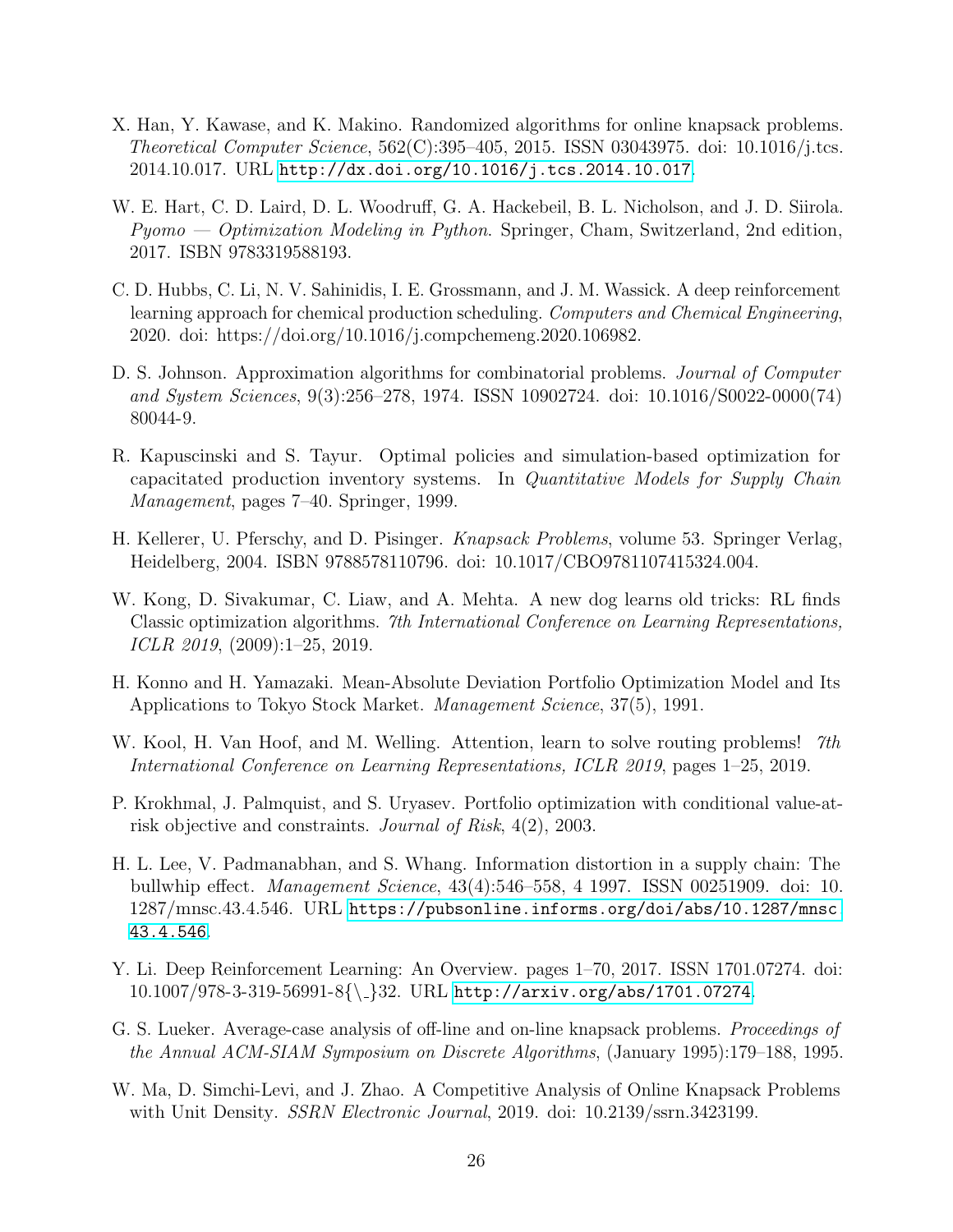- <span id="page-25-8"></span>X. Han, Y. Kawase, and K. Makino. Randomized algorithms for online knapsack problems. Theoretical Computer Science, 562(C):395–405, 2015. ISSN 03043975. doi: 10.1016/j.tcs. 2014.10.017. URL <http://dx.doi.org/10.1016/j.tcs.2014.10.017>.
- <span id="page-25-3"></span>W. E. Hart, C. D. Laird, D. L. Woodruff, G. A. Hackebeil, B. L. Nicholson, and J. D. Siirola.  $Pyomo - Optimization Modeling in Python. Springer, Cham, Switzerland, 2nd edition,$ 2017. ISBN 9783319588193.
- <span id="page-25-1"></span>C. D. Hubbs, C. Li, N. V. Sahinidis, I. E. Grossmann, and J. M. Wassick. A deep reinforcement learning approach for chemical production scheduling. Computers and Chemical Engineering, 2020. doi: https://doi.org/10.1016/j.compchemeng.2020.106982.
- <span id="page-25-9"></span>D. S. Johnson. Approximation algorithms for combinatorial problems. *Journal of Computer* and System Sciences, 9(3):256–278, 1974. ISSN 10902724. doi: 10.1016/S0022-0000(74) 80044-9.
- <span id="page-25-11"></span>R. Kapuscinski and S. Tayur. Optimal policies and simulation-based optimization for capacitated production inventory systems. In Quantitative Models for Supply Chain Management, pages 7–40. Springer, 1999.
- <span id="page-25-5"></span>H. Kellerer, U. Pferschy, and D. Pisinger. Knapsack Problems, volume 53. Springer Verlag, Heidelberg, 2004. ISBN 9788578110796. doi: 10.1017/CBO9781107415324.004.
- <span id="page-25-7"></span>W. Kong, D. Sivakumar, C. Liaw, and A. Mehta. A new dog learns old tricks: RL finds Classic optimization algorithms. 7th International Conference on Learning Representations, ICLR 2019, (2009):1–25, 2019.
- <span id="page-25-12"></span>H. Konno and H. Yamazaki. Mean-Absolute Deviation Portfolio Optimization Model and Its Applications to Tokyo Stock Market. Management Science, 37(5), 1991.
- <span id="page-25-0"></span>W. Kool, H. Van Hoof, and M. Welling. Attention, learn to solve routing problems! 7th International Conference on Learning Representations, ICLR 2019, pages 1–25, 2019.
- <span id="page-25-13"></span>P. Krokhmal, J. Palmquist, and S. Uryasev. Portfolio optimization with conditional value-atrisk objective and constraints. Journal of Risk, 4(2), 2003.
- <span id="page-25-10"></span>H. L. Lee, V. Padmanabhan, and S. Whang. Information distortion in a supply chain: The bullwhip effect. Management Science, 43(4):546–558, 4 1997. ISSN 00251909. doi: 10. 1287/mnsc.43.4.546. URL [https://pubsonline.informs.org/doi/abs/10.1287/mnsc.](https://pubsonline.informs.org/doi/abs/10.1287/mnsc.43.4.546) [43.4.546](https://pubsonline.informs.org/doi/abs/10.1287/mnsc.43.4.546).
- <span id="page-25-2"></span>Y. Li. Deep Reinforcement Learning: An Overview. pages 1–70, 2017. ISSN 1701.07274. doi:  $10.1007/978-3-319-56991-8{\-\}32. \text{ URL http://arxiv.org/abs/1701.07274.}$  $10.1007/978-3-319-56991-8{\-\}32. \text{ URL http://arxiv.org/abs/1701.07274.}$  $10.1007/978-3-319-56991-8{\-\}32. \text{ URL http://arxiv.org/abs/1701.07274.}$
- <span id="page-25-6"></span>G. S. Lueker. Average-case analysis of off-line and on-line knapsack problems. Proceedings of the Annual ACM-SIAM Symposium on Discrete Algorithms, (January 1995):179–188, 1995.
- <span id="page-25-4"></span>W. Ma, D. Simchi-Levi, and J. Zhao. A Competitive Analysis of Online Knapsack Problems with Unit Density. *SSRN Electronic Journal*, 2019. doi: 10.2139/ssrn.3423199.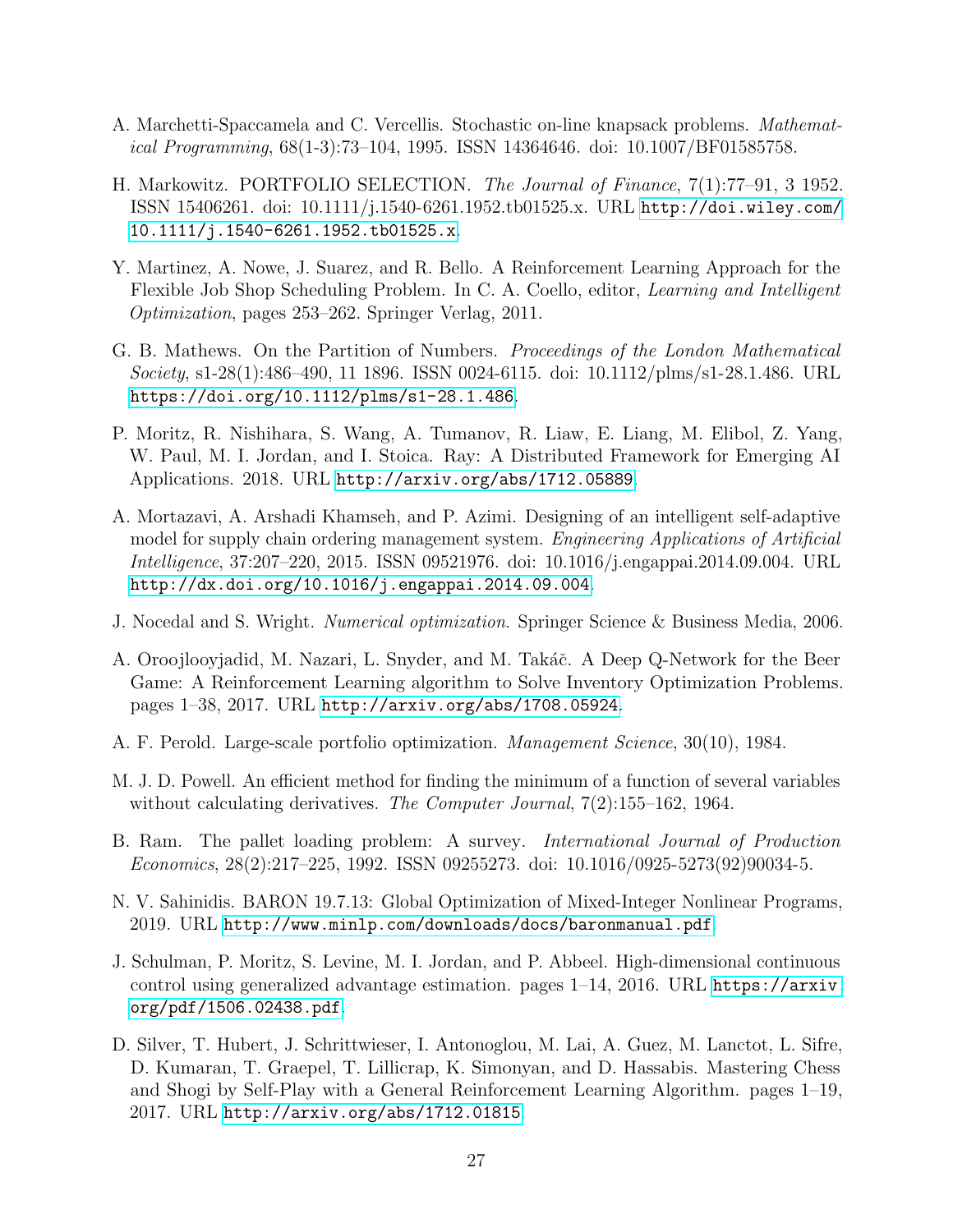- <span id="page-26-6"></span>A. Marchetti-Spaccamela and C. Vercellis. Stochastic on-line knapsack problems. Mathematical Programming, 68(1-3):73–104, 1995. ISSN 14364646. doi: 10.1007/BF01585758.
- <span id="page-26-11"></span>H. Markowitz. PORTFOLIO SELECTION. The Journal of Finance, 7(1):77–91, 3 1952. ISSN 15406261. doi: 10.1111/j.1540-6261.1952.tb01525.x. URL [http://doi.wiley.com/](http://doi.wiley.com/10.1111/j.1540-6261.1952.tb01525.x) [10.1111/j.1540-6261.1952.tb01525.x](http://doi.wiley.com/10.1111/j.1540-6261.1952.tb01525.x).
- <span id="page-26-2"></span>Y. Martinez, A. Nowe, J. Suarez, and R. Bello. A Reinforcement Learning Approach for the Flexible Job Shop Scheduling Problem. In C. A. Coello, editor, Learning and Intelligent Optimization, pages 253–262. Springer Verlag, 2011.
- <span id="page-26-5"></span>G. B. Mathews. On the Partition of Numbers. Proceedings of the London Mathematical Society, s1-28(1):486–490, 11 1896. ISSN 0024-6115. doi: 10.1112/plms/s1-28.1.486. URL <https://doi.org/10.1112/plms/s1-28.1.486>.
- <span id="page-26-3"></span>P. Moritz, R. Nishihara, S. Wang, A. Tumanov, R. Liaw, E. Liang, M. Elibol, Z. Yang, W. Paul, M. I. Jordan, and I. Stoica. Ray: A Distributed Framework for Emerging AI Applications. 2018. URL <http://arxiv.org/abs/1712.05889>.
- <span id="page-26-8"></span>A. Mortazavi, A. Arshadi Khamseh, and P. Azimi. Designing of an intelligent self-adaptive model for supply chain ordering management system. Engineering Applications of Artificial Intelligence, 37:207–220, 2015. ISSN 09521976. doi: 10.1016/j.engappai.2014.09.004. URL <http://dx.doi.org/10.1016/j.engappai.2014.09.004>.
- <span id="page-26-9"></span>J. Nocedal and S. Wright. Numerical optimization. Springer Science & Business Media, 2006.
- <span id="page-26-1"></span>A. Oroojlooyjadid, M. Nazari, L. Snyder, and M. Takáč. A Deep Q-Network for the Beer Game: A Reinforcement Learning algorithm to Solve Inventory Optimization Problems. pages 1–38, 2017. URL <http://arxiv.org/abs/1708.05924>.
- <span id="page-26-12"></span>A. F. Perold. Large-scale portfolio optimization. Management Science, 30(10), 1984.
- <span id="page-26-10"></span>M. J. D. Powell. An efficient method for finding the minimum of a function of several variables without calculating derivatives. The Computer Journal, 7(2):155–162, 1964.
- <span id="page-26-7"></span>B. Ram. The pallet loading problem: A survey. International Journal of Production Economics, 28(2):217–225, 1992. ISSN 09255273. doi: 10.1016/0925-5273(92)90034-5.
- N. V. Sahinidis. BARON 19.7.13: Global Optimization of Mixed-Integer Nonlinear Programs, 2019. URL [http://www.minlp.com/downloads/docs/baronmanual.pdf](http://www.minlp.com/downloads/docs/baron manual.pdf).
- <span id="page-26-4"></span>J. Schulman, P. Moritz, S. Levine, M. I. Jordan, and P. Abbeel. High-dimensional continuous control using generalized advantage estimation. pages 1–14, 2016. URL [https://arxiv.](https://arxiv.org/pdf/1506.02438.pdf) [org/pdf/1506.02438.pdf](https://arxiv.org/pdf/1506.02438.pdf).
- <span id="page-26-0"></span>D. Silver, T. Hubert, J. Schrittwieser, I. Antonoglou, M. Lai, A. Guez, M. Lanctot, L. Sifre, D. Kumaran, T. Graepel, T. Lillicrap, K. Simonyan, and D. Hassabis. Mastering Chess and Shogi by Self-Play with a General Reinforcement Learning Algorithm. pages 1–19, 2017. URL <http://arxiv.org/abs/1712.01815>.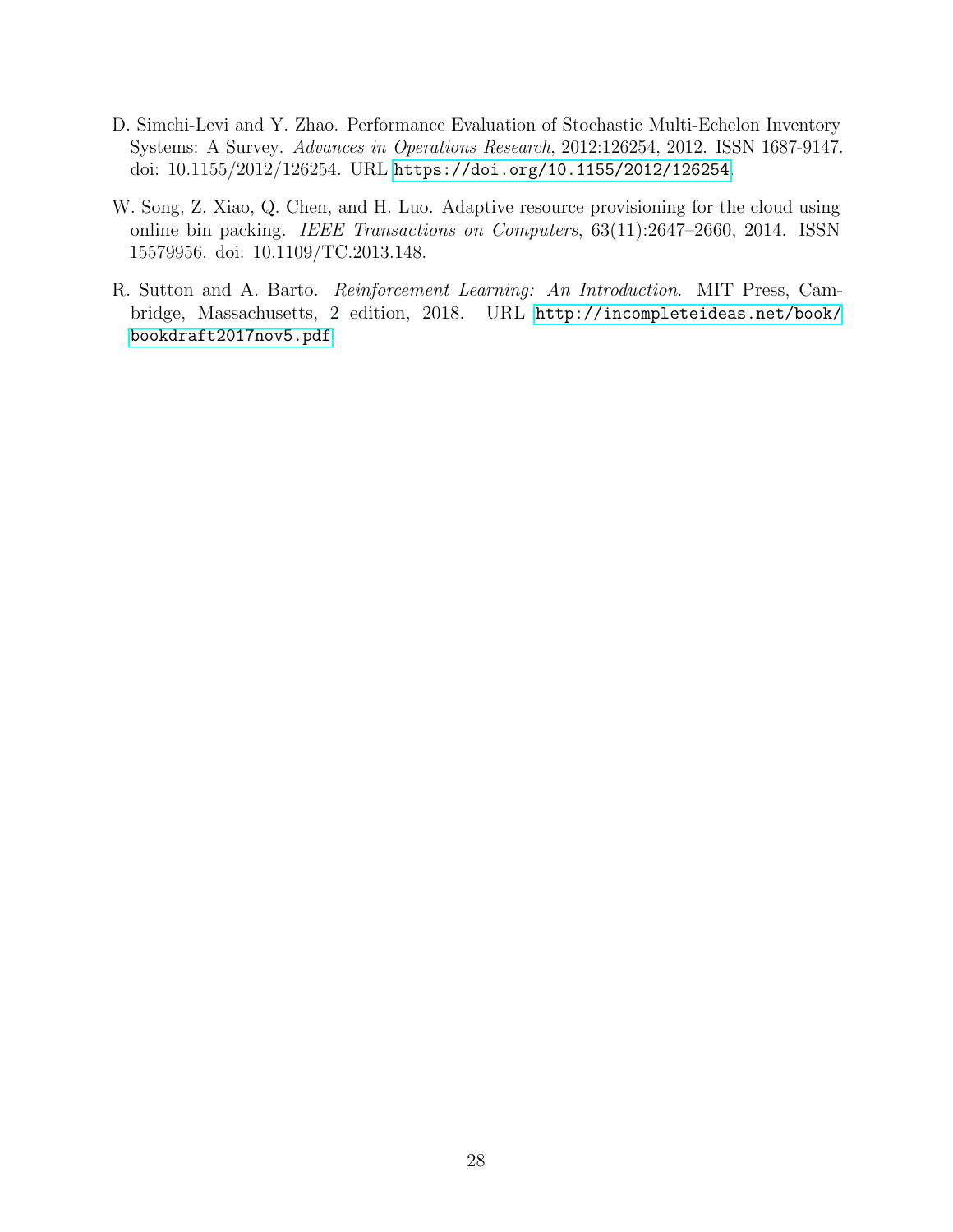- <span id="page-27-2"></span>D. Simchi-Levi and Y. Zhao. Performance Evaluation of Stochastic Multi-Echelon Inventory Systems: A Survey. Advances in Operations Research, 2012:126254, 2012. ISSN 1687-9147. doi: 10.1155/2012/126254. URL <https://doi.org/10.1155/2012/126254>.
- <span id="page-27-1"></span>W. Song, Z. Xiao, Q. Chen, and H. Luo. Adaptive resource provisioning for the cloud using online bin packing. IEEE Transactions on Computers, 63(11):2647–2660, 2014. ISSN 15579956. doi: 10.1109/TC.2013.148.
- <span id="page-27-0"></span>R. Sutton and A. Barto. Reinforcement Learning: An Introduction. MIT Press, Cambridge, Massachusetts, 2 edition, 2018. URL [http://incompleteideas.net/book/](http://incompleteideas.net/book/bookdraft2017nov5.pdf) [bookdraft2017nov5.pdf](http://incompleteideas.net/book/bookdraft2017nov5.pdf).